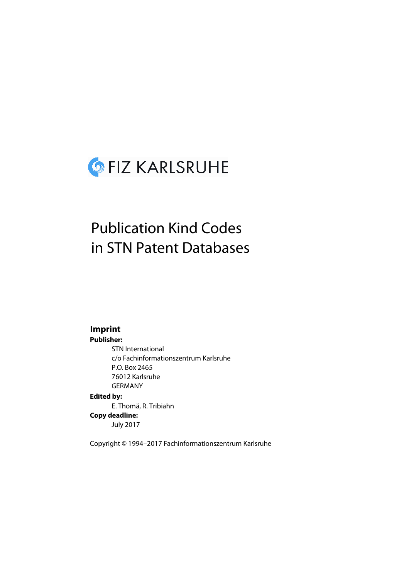

# Publication Kind Codes in STN Patent Databases

## **Imprint**

#### **Publisher:**

STN International c/o Fachinformationszentrum Karlsruhe P.O. Box 2465 76012 Karlsruhe GERMANY **Edited by:** E. Thomä, R. Tribiahn **Copy deadline:** July 2017

Copyright © 1994–2017 Fachinformationszentrum Karlsruhe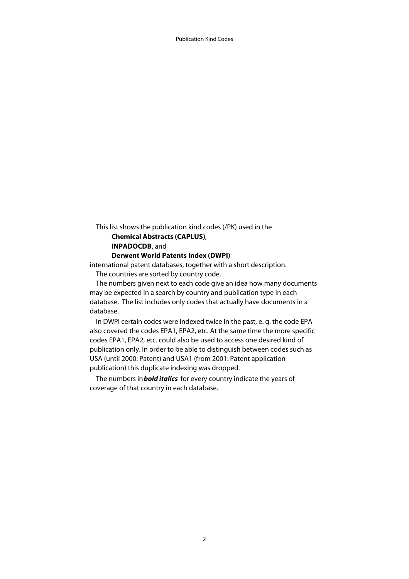This list shows the publication kind codes (/PK) used in the **Chemical Abstracts (CAPLUS)**, **INPADOCDB**, and

### **Derwent World Patents Index (DWPI)**

international patent databases, together with a short description. The countries are sorted by country code.

 The numbers given next to each code give an idea how many documents may be expected in a search by country and publication type in each database. The list includes only codes that actually have documents in a database.

 In DWPI certain codes were indexed twice in the past, e. g. the code EPA also covered the codes EPA1, EPA2, etc. At the same time the more specific codes EPA1, EPA2, etc. could also be used to access one desired kind of publication only. In order to be able to distinguish between codes such as USA (until 2000: Patent) and USA1 (from 2001: Patent application publication) this duplicate indexing was dropped.

 The numbers in **bold italics** for every country indicate the years of coverage of that country in each database.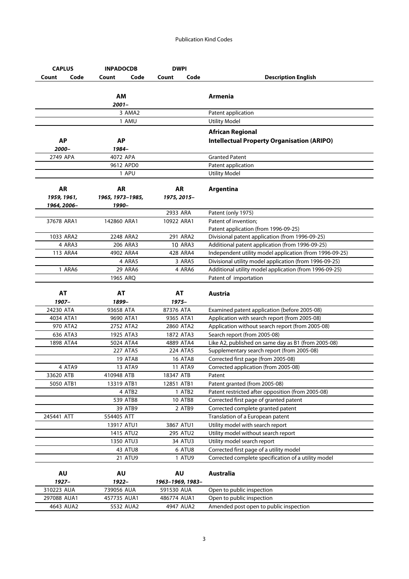| <b>CAPLUS</b>            |      | <b>INPADOCDB</b>         | <b>DWPI</b>              |                |                                                                     |
|--------------------------|------|--------------------------|--------------------------|----------------|---------------------------------------------------------------------|
| Count                    | Code | Count                    | Code<br>Count            | Code           | <b>Description English</b>                                          |
|                          |      | AМ<br>$2001 -$           |                          |                | Armenia                                                             |
|                          |      | 3 AMA2                   |                          |                | Patent application                                                  |
|                          |      | 1 AMU                    |                          |                | <b>Utility Model</b>                                                |
|                          |      |                          |                          |                | <b>African Regional</b>                                             |
| <b>AP</b>                |      | <b>AP</b>                |                          |                | <b>Intellectual Property Organisation (ARIPO)</b>                   |
| 2000-                    |      | 1984-                    |                          |                |                                                                     |
| 2749 APA                 |      | 4072 APA                 |                          |                | <b>Granted Patent</b>                                               |
|                          |      | 9612 APD0                |                          |                | Patent application                                                  |
|                          |      | 1 APU                    |                          |                | <b>Utility Model</b>                                                |
| <b>AR</b>                |      | AR                       | AR                       |                | Argentina                                                           |
| 1959, 1961,              |      | 1965, 1973–1985,         | 1975, 2015-              |                |                                                                     |
| 1964, 2006-              |      | 1990-                    |                          |                |                                                                     |
|                          |      |                          | 2933 ARA                 |                | Patent (only 1975)                                                  |
| 37678 ARA1               |      | 142860 ARA1              | 10922 ARA1               |                | Patent of invention;                                                |
|                          |      |                          |                          |                | Patent application (from 1996-09-25)                                |
| 1033 ARA2                |      | 2248 ARA2                | 291 ARA2                 |                | Divisional patent application (from 1996-09-25)                     |
| 4 ARA3                   |      | 206 ARA3                 |                          | <b>10 ARA3</b> | Additional patent application (from 1996-09-25)                     |
| 113 ARA4                 |      | 4902 ARA4                | 428 ARA4                 |                | Independent utility model application (from 1996-09-25)             |
|                          |      | 4 ARA5                   |                          | 3 ARA5         | Divisional utility model application (from 1996-09-25)              |
| 1 ARA6                   |      | 29 ARA6                  |                          | 4 ARA6         | Additional utility model application (from 1996-09-25)              |
|                          |      | 1965 ARQ                 |                          |                | Patent of importation                                               |
| <b>AT</b><br>1907-       |      | AT<br>1899-              | AT<br>1975–              |                | Austria                                                             |
| 24230 ATA                |      | 93658 ATA                | 87376 ATA                |                | Examined patent application (before 2005-08)                        |
| 4034 ATA1                |      | 9690 ATA1                | 9365 ATA1                |                | Application with search report (from 2005-08)                       |
| 970 ATA2                 |      | 2752 ATA2                | 2860 ATA2                |                | Application without search report (from 2005-08)                    |
| 636 ATA3                 |      | 1925 ATA3                | 1872 ATA3                |                | Search report (from 2005-08)                                        |
| 1898 ATA4                |      | 5024 ATA4                | 4889 ATA4                |                | Like A2, published on same day as B1 (from 2005-08)                 |
|                          |      | 227 ATA5                 | 224 ATA5                 |                | Supplementary search report (from 2005-08)                          |
|                          |      | <b>19 ATA8</b>           |                          | <b>16 ATA8</b> | Corrected first page (from 2005-08)                                 |
| 4 ATA9                   |      | 13 ATA9                  |                          | <b>11 ATA9</b> | Corrected application (from 2005-08)                                |
| 33620 ATB                |      | 410948 ATB               | 18347 ATB                |                | Patent                                                              |
| 5050 ATB1                |      | 13319 ATB1               | 12851 ATB1               |                | Patent granted (from 2005-08)                                       |
|                          |      | 4 ATB2                   |                          | 1 ATB2         | Patent restricted after opposition (from 2005-08)                   |
|                          |      | 539 ATB8                 |                          | <b>10 ATB8</b> | Corrected first page of granted patent                              |
|                          |      | 39 ATB9                  |                          | 2 ATB9         | Corrected complete granted patent                                   |
| 245441 ATT               |      | 554405 ATT               |                          |                | Translation of a European patent                                    |
|                          |      | 13917 ATU1               | 3867 ATU1                |                | Utility model with search report                                    |
|                          |      | 1415 ATU2                | 295 ATU2                 |                | Utility model without search report                                 |
|                          |      | 1350 ATU3                |                          | 34 ATU3        | Utility model search report                                         |
|                          |      | 43 ATU8                  |                          | 6 ATU8         | Corrected first page of a utility model                             |
|                          |      | 21 ATU9                  |                          | 1 ATU9         | Corrected complete specification of a utility model                 |
| <b>AU</b>                |      | <b>AU</b>                | AU                       |                | Australia                                                           |
| 1927-                    |      | 1922–                    | 1963-1969, 1983-         |                |                                                                     |
| 310223 AUA               |      | 739056 AUA               | 591530 AUA               |                | Open to public inspection                                           |
|                          |      |                          |                          |                |                                                                     |
| 297088 AUA1<br>4643 AUA2 |      | 457735 AUA1<br>5532 AUA2 | 486774 AUA1<br>4947 AUA2 |                | Open to public inspection<br>Amended post open to public inspection |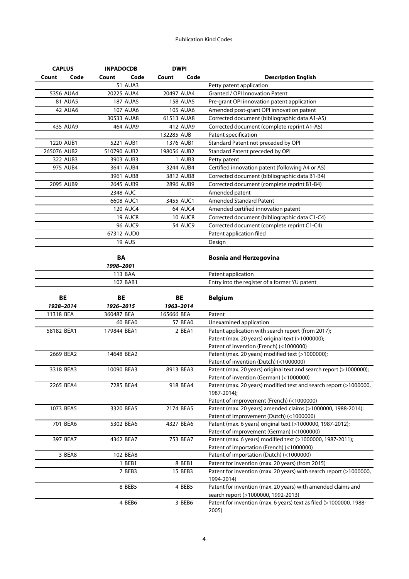| <b>CAPLUS</b>  | <b>INPADOCDB</b> | <b>DWPI</b>     |                                                                             |
|----------------|------------------|-----------------|-----------------------------------------------------------------------------|
| Code<br>Count  | Code<br>Count    | Code<br>Count   | <b>Description English</b>                                                  |
|                | <b>51 AUA3</b>   |                 | Petty patent application                                                    |
| 5356 AUA4      | 20225 AUA4       | 20497 AUA4      | Granted / OPI Innovation Patent                                             |
| <b>81 AUA5</b> | <b>187 AUA5</b>  | <b>158 AUA5</b> | Pre-grant OPI innovation patent application                                 |
| 42 AUA6        | 107 AUA6         | <b>105 AUA6</b> | Amended post-grant OPI innovation patent                                    |
|                | 30533 AUA8       | 61513 AUA8      | Corrected document (bibliographic data A1-A5)                               |
| 435 AUA9       | 464 AUA9         | 412 AUA9        | Corrected document (complete reprint A1-A5)                                 |
|                |                  | 132285 AUB      | Patent specification                                                        |
| 1220 AUB1      | 5221 AUB1        | 1376 AUB1       | Standard Patent not preceded by OPI                                         |
| 265076 AUB2    | 510790 AUB2      | 198056 AUB2     | Standard Patent preceded by OPI                                             |
| 322 AUB3       | 3903 AUB3        | 1 AUB3          | Petty patent                                                                |
| 975 AUB4       | 3641 AUB4        | 3244 AUB4       | Certified innovation patent (following A4 or A5)                            |
|                | 3961 AUB8        | 3812 AUB8       | Corrected document (bibliographic data B1-B4)                               |
| 2095 AUB9      | 2645 AUB9        | 2896 AUB9       | Corrected document (complete reprint B1-B4)                                 |
|                | 2348 AUC         |                 |                                                                             |
|                |                  |                 | Amended patent<br>Amended Standard Patent                                   |
|                | 6608 AUC1        | 3455 AUC1       |                                                                             |
|                | 120 AUC4         | <b>64 AUC4</b>  | Amended certified innovation patent                                         |
|                | <b>19 AUC8</b>   | <b>10 AUC8</b>  | Corrected document (bibliographic data C1-C4)                               |
|                | <b>96 AUC9</b>   | <b>54 AUC9</b>  | Corrected document (complete reprint C1-C4)                                 |
|                | 67312 AUD0       |                 | Patent application filed                                                    |
|                | 19 AUS           |                 | Design                                                                      |
|                |                  |                 |                                                                             |
|                | <b>BA</b>        |                 | <b>Bosnia and Herzegovina</b>                                               |
|                | 1998-2001        |                 |                                                                             |
|                | 113 BAA          |                 | Patent application                                                          |
|                | 102 BAB1         |                 | Entry into the register of a former YU patent                               |
|                |                  |                 |                                                                             |
| <b>BE</b>      | <b>BE</b>        | <b>BE</b>       | <b>Belgium</b>                                                              |
| 1928-2014      | 1926-2015        | 1963-2014       |                                                                             |
| 11318 BEA      | 360487 BEA       | 165666 BEA      | Patent                                                                      |
|                | 60 BEA0          | 57 BEA0         | Unexamined application                                                      |
| 58182 BEA1     | 179844 BEA1      | 2 BEA1          | Patent application with search report (from 2017);                          |
|                |                  |                 | Patent (max. 20 years) original text (>1000000);                            |
|                |                  |                 | Patent of invention (French) (<1000000)                                     |
| 2669 BEA2      | 14648 BEA2       |                 | Patent (max. 20 years) modified text (>1000000);                            |
|                |                  |                 |                                                                             |
| 3318 BEA3      |                  |                 | Patent of invention (Dutch) (<1000000)                                      |
|                | 10090 BEA3       | 8913 BEA3       | Patent (max. 20 years) original text and search report (>1000000);          |
|                |                  |                 | Patent of invention (German) (<1000000)                                     |
| 2265 BEA4      | 7285 BEA4        | 918 BEA4        | Patent (max. 20 years) modified text and search report (>1000000,           |
|                |                  |                 | 1987-2014);                                                                 |
|                |                  |                 | Patent of improvement (French) (<1000000)                                   |
| 1073 BEA5      | 3320 BEA5        | 2174 BEA5       | Patent (max. 20 years) amended claims (>1000000, 1988-2014);                |
|                |                  |                 | Patent of improvement (Dutch) (<1000000)                                    |
| 701 BEA6       | 5302 BEA6        | 4327 BEA6       | Patent (max. 6 years) original text (>1000000, 1987-2012);                  |
|                |                  |                 | Patent of improvement (German) (<1000000)                                   |
| 397 BEA7       | 4362 BEA7        | 753 BEA7        | Patent (max. 6 years) modified text (>1000000, 1987-2011);                  |
|                |                  |                 | Patent of importation (French) (<1000000)                                   |
| 3 BEA8         | 102 BEA8         |                 | Patent of importation (Dutch) (<1000000)                                    |
|                | 1 BEB1           | 8 BEB1          | Patent for invention (max. 20 years) (from 2015)                            |
|                | 7 BEB3           | 15 BEB3         | Patent for invention (max. 20 years) with search report (>1000000,          |
|                |                  |                 | 1994-2014)                                                                  |
|                | 8 BEB5           | 4 BEB5          | Patent for invention (max. 20 years) with amended claims and                |
|                |                  |                 | search report (>1000000, 1992-2013)                                         |
|                | 4 BEB6           | 3 BEB6          | Patent for invention (max. 6 years) text as filed (>1000000, 1988-<br>2005) |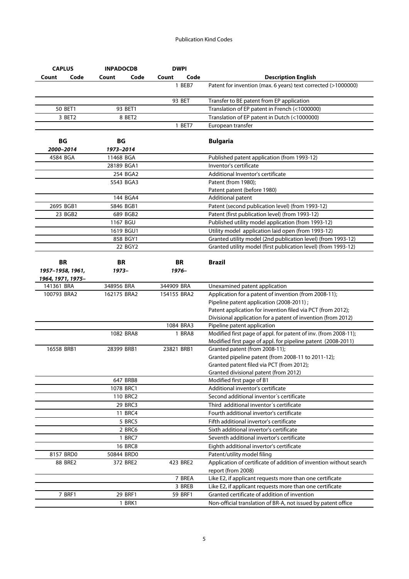| Code<br>Code<br>Code<br><b>Description English</b><br>Count<br>Count<br>Count<br>1 BEB7<br>Patent for invention (max. 6 years) text corrected (>1000000)<br>93 BET<br>Transfer to BE patent from EP application<br>93 BET1<br>Translation of EP patent in French (<1000000)<br>50 BET1<br>Translation of EP patent in Dutch (<1000000)<br>3 BET2<br>8 BET2<br>1 BET7<br>European transfer<br><b>BG</b><br>ВG<br><b>Bulgaria</b><br>2000-2014<br>1973-2014<br>4584 BGA<br>11468 BGA<br>Published patent application (from 1993-12)<br>Inventor's certificate<br>28189 BGA1<br>254 BGA2<br>Additional Inventor's certificate<br>5543 BGA3<br>Patent (from 1980);<br>Patent patent (before 1980)<br>144 BGA4<br>Additional patent<br>2695 BGB1<br>Patent (second publication level) (from 1993-12)<br>5846 BGB1<br>23 BGB2<br>Patent (first publication level) (from 1993-12)<br>689 BGB2<br>Published utility model application (from 1993-12)<br>1167 BGU<br>Utility model application laid open (from 1993-12)<br>1619 BGU1<br>Granted utility model (2nd publication level) (from 1993-12)<br>858 BGY1<br>22 BGY2<br>Granted utility model (first publication level) (from 1993-12)<br><b>BR</b><br><b>Brazil</b><br>BR<br>BR<br>1957-1958, 1961,<br>1973-<br>1976-<br>1964, 1971, 1975-<br>348956 BRA<br>141361 BRA<br>344909 BRA<br>Unexamined patent application<br>Application for a patent of invention (from 2008-11);<br>100793 BRA2<br>162175 BRA2<br>154155 BRA2<br>Pipeline patent application (2008-2011);<br>Patent application for invention filed via PCT (from 2012);<br>Divisional application for a patent of invention (from 2012)<br>1084 BRA3<br>Pipeline patent application<br>Modified first page of appl. for patent of inv. (from 2008-11);<br>1082 BRA8<br>1 BRA8<br>Modified first page of appl. for pipeline patent (2008-2011)<br>16558 BRB1<br>23821 BRB1<br>Granted patent (from 2008-11);<br>28399 BRB1<br>Granted pipeline patent (from 2008-11 to 2011-12);<br>Granted patent filed via PCT (from 2012);<br>Granted divisional patent (from 2012)<br>647 BRB8<br>Modified first page of B1<br>Additional inventor's certificate<br>1078 BRC1<br>110 BRC2<br>Second additional inventor's certificate<br>29 BRC3<br>Third additional inventor's certificate<br>11 BRC4<br>Fourth additional invertor's certificate<br>5 BRC5<br>Fifth additional invertor's certificate<br>2 BRC6<br>Sixth additional invertor's certificate<br>1 BRC7<br>Seventh additional invertor's certificate<br><b>16 BRC8</b><br>Eighth additional invertor's certificate<br>8157 BRD0<br>50844 BRD0<br>Patent/utility model filing<br>Application of certificate of addition of invention without search<br>88 BRE2<br>372 BRE2<br>423 BRE2<br>report (from 2008)<br>7 BREA<br>Like E2, if applicant requests more than one certificate<br>3 BREB<br>Like E2, if applicant requests more than one certificate<br>7 BRF1<br>29 BRF1<br>59 BRF1<br>Granted certificate of addition of invention<br>1 BRK1 | <b>CAPLUS</b> | <b>INPADOCDB</b> | <b>DWPI</b> |                                                               |
|-------------------------------------------------------------------------------------------------------------------------------------------------------------------------------------------------------------------------------------------------------------------------------------------------------------------------------------------------------------------------------------------------------------------------------------------------------------------------------------------------------------------------------------------------------------------------------------------------------------------------------------------------------------------------------------------------------------------------------------------------------------------------------------------------------------------------------------------------------------------------------------------------------------------------------------------------------------------------------------------------------------------------------------------------------------------------------------------------------------------------------------------------------------------------------------------------------------------------------------------------------------------------------------------------------------------------------------------------------------------------------------------------------------------------------------------------------------------------------------------------------------------------------------------------------------------------------------------------------------------------------------------------------------------------------------------------------------------------------------------------------------------------------------------------------------------------------------------------------------------------------------------------------------------------------------------------------------------------------------------------------------------------------------------------------------------------------------------------------------------------------------------------------------------------------------------------------------------------------------------------------------------------------------------------------------------------------------------------------------------------------------------------------------------------------------------------------------------------------------------------------------------------------------------------------------------------------------------------------------------------------------------------------------------------------------------------------------------------------------------------------------------------------------------------------------------------------------------------------------------------------------------------------------------------------------------------------------------------------------------------------------------|---------------|------------------|-------------|---------------------------------------------------------------|
|                                                                                                                                                                                                                                                                                                                                                                                                                                                                                                                                                                                                                                                                                                                                                                                                                                                                                                                                                                                                                                                                                                                                                                                                                                                                                                                                                                                                                                                                                                                                                                                                                                                                                                                                                                                                                                                                                                                                                                                                                                                                                                                                                                                                                                                                                                                                                                                                                                                                                                                                                                                                                                                                                                                                                                                                                                                                                                                                                                                                                   |               |                  |             |                                                               |
|                                                                                                                                                                                                                                                                                                                                                                                                                                                                                                                                                                                                                                                                                                                                                                                                                                                                                                                                                                                                                                                                                                                                                                                                                                                                                                                                                                                                                                                                                                                                                                                                                                                                                                                                                                                                                                                                                                                                                                                                                                                                                                                                                                                                                                                                                                                                                                                                                                                                                                                                                                                                                                                                                                                                                                                                                                                                                                                                                                                                                   |               |                  |             |                                                               |
|                                                                                                                                                                                                                                                                                                                                                                                                                                                                                                                                                                                                                                                                                                                                                                                                                                                                                                                                                                                                                                                                                                                                                                                                                                                                                                                                                                                                                                                                                                                                                                                                                                                                                                                                                                                                                                                                                                                                                                                                                                                                                                                                                                                                                                                                                                                                                                                                                                                                                                                                                                                                                                                                                                                                                                                                                                                                                                                                                                                                                   |               |                  |             |                                                               |
|                                                                                                                                                                                                                                                                                                                                                                                                                                                                                                                                                                                                                                                                                                                                                                                                                                                                                                                                                                                                                                                                                                                                                                                                                                                                                                                                                                                                                                                                                                                                                                                                                                                                                                                                                                                                                                                                                                                                                                                                                                                                                                                                                                                                                                                                                                                                                                                                                                                                                                                                                                                                                                                                                                                                                                                                                                                                                                                                                                                                                   |               |                  |             |                                                               |
|                                                                                                                                                                                                                                                                                                                                                                                                                                                                                                                                                                                                                                                                                                                                                                                                                                                                                                                                                                                                                                                                                                                                                                                                                                                                                                                                                                                                                                                                                                                                                                                                                                                                                                                                                                                                                                                                                                                                                                                                                                                                                                                                                                                                                                                                                                                                                                                                                                                                                                                                                                                                                                                                                                                                                                                                                                                                                                                                                                                                                   |               |                  |             |                                                               |
|                                                                                                                                                                                                                                                                                                                                                                                                                                                                                                                                                                                                                                                                                                                                                                                                                                                                                                                                                                                                                                                                                                                                                                                                                                                                                                                                                                                                                                                                                                                                                                                                                                                                                                                                                                                                                                                                                                                                                                                                                                                                                                                                                                                                                                                                                                                                                                                                                                                                                                                                                                                                                                                                                                                                                                                                                                                                                                                                                                                                                   |               |                  |             |                                                               |
|                                                                                                                                                                                                                                                                                                                                                                                                                                                                                                                                                                                                                                                                                                                                                                                                                                                                                                                                                                                                                                                                                                                                                                                                                                                                                                                                                                                                                                                                                                                                                                                                                                                                                                                                                                                                                                                                                                                                                                                                                                                                                                                                                                                                                                                                                                                                                                                                                                                                                                                                                                                                                                                                                                                                                                                                                                                                                                                                                                                                                   |               |                  |             |                                                               |
|                                                                                                                                                                                                                                                                                                                                                                                                                                                                                                                                                                                                                                                                                                                                                                                                                                                                                                                                                                                                                                                                                                                                                                                                                                                                                                                                                                                                                                                                                                                                                                                                                                                                                                                                                                                                                                                                                                                                                                                                                                                                                                                                                                                                                                                                                                                                                                                                                                                                                                                                                                                                                                                                                                                                                                                                                                                                                                                                                                                                                   |               |                  |             |                                                               |
|                                                                                                                                                                                                                                                                                                                                                                                                                                                                                                                                                                                                                                                                                                                                                                                                                                                                                                                                                                                                                                                                                                                                                                                                                                                                                                                                                                                                                                                                                                                                                                                                                                                                                                                                                                                                                                                                                                                                                                                                                                                                                                                                                                                                                                                                                                                                                                                                                                                                                                                                                                                                                                                                                                                                                                                                                                                                                                                                                                                                                   |               |                  |             |                                                               |
|                                                                                                                                                                                                                                                                                                                                                                                                                                                                                                                                                                                                                                                                                                                                                                                                                                                                                                                                                                                                                                                                                                                                                                                                                                                                                                                                                                                                                                                                                                                                                                                                                                                                                                                                                                                                                                                                                                                                                                                                                                                                                                                                                                                                                                                                                                                                                                                                                                                                                                                                                                                                                                                                                                                                                                                                                                                                                                                                                                                                                   |               |                  |             |                                                               |
|                                                                                                                                                                                                                                                                                                                                                                                                                                                                                                                                                                                                                                                                                                                                                                                                                                                                                                                                                                                                                                                                                                                                                                                                                                                                                                                                                                                                                                                                                                                                                                                                                                                                                                                                                                                                                                                                                                                                                                                                                                                                                                                                                                                                                                                                                                                                                                                                                                                                                                                                                                                                                                                                                                                                                                                                                                                                                                                                                                                                                   |               |                  |             |                                                               |
|                                                                                                                                                                                                                                                                                                                                                                                                                                                                                                                                                                                                                                                                                                                                                                                                                                                                                                                                                                                                                                                                                                                                                                                                                                                                                                                                                                                                                                                                                                                                                                                                                                                                                                                                                                                                                                                                                                                                                                                                                                                                                                                                                                                                                                                                                                                                                                                                                                                                                                                                                                                                                                                                                                                                                                                                                                                                                                                                                                                                                   |               |                  |             |                                                               |
|                                                                                                                                                                                                                                                                                                                                                                                                                                                                                                                                                                                                                                                                                                                                                                                                                                                                                                                                                                                                                                                                                                                                                                                                                                                                                                                                                                                                                                                                                                                                                                                                                                                                                                                                                                                                                                                                                                                                                                                                                                                                                                                                                                                                                                                                                                                                                                                                                                                                                                                                                                                                                                                                                                                                                                                                                                                                                                                                                                                                                   |               |                  |             |                                                               |
|                                                                                                                                                                                                                                                                                                                                                                                                                                                                                                                                                                                                                                                                                                                                                                                                                                                                                                                                                                                                                                                                                                                                                                                                                                                                                                                                                                                                                                                                                                                                                                                                                                                                                                                                                                                                                                                                                                                                                                                                                                                                                                                                                                                                                                                                                                                                                                                                                                                                                                                                                                                                                                                                                                                                                                                                                                                                                                                                                                                                                   |               |                  |             |                                                               |
|                                                                                                                                                                                                                                                                                                                                                                                                                                                                                                                                                                                                                                                                                                                                                                                                                                                                                                                                                                                                                                                                                                                                                                                                                                                                                                                                                                                                                                                                                                                                                                                                                                                                                                                                                                                                                                                                                                                                                                                                                                                                                                                                                                                                                                                                                                                                                                                                                                                                                                                                                                                                                                                                                                                                                                                                                                                                                                                                                                                                                   |               |                  |             |                                                               |
|                                                                                                                                                                                                                                                                                                                                                                                                                                                                                                                                                                                                                                                                                                                                                                                                                                                                                                                                                                                                                                                                                                                                                                                                                                                                                                                                                                                                                                                                                                                                                                                                                                                                                                                                                                                                                                                                                                                                                                                                                                                                                                                                                                                                                                                                                                                                                                                                                                                                                                                                                                                                                                                                                                                                                                                                                                                                                                                                                                                                                   |               |                  |             |                                                               |
|                                                                                                                                                                                                                                                                                                                                                                                                                                                                                                                                                                                                                                                                                                                                                                                                                                                                                                                                                                                                                                                                                                                                                                                                                                                                                                                                                                                                                                                                                                                                                                                                                                                                                                                                                                                                                                                                                                                                                                                                                                                                                                                                                                                                                                                                                                                                                                                                                                                                                                                                                                                                                                                                                                                                                                                                                                                                                                                                                                                                                   |               |                  |             |                                                               |
|                                                                                                                                                                                                                                                                                                                                                                                                                                                                                                                                                                                                                                                                                                                                                                                                                                                                                                                                                                                                                                                                                                                                                                                                                                                                                                                                                                                                                                                                                                                                                                                                                                                                                                                                                                                                                                                                                                                                                                                                                                                                                                                                                                                                                                                                                                                                                                                                                                                                                                                                                                                                                                                                                                                                                                                                                                                                                                                                                                                                                   |               |                  |             |                                                               |
|                                                                                                                                                                                                                                                                                                                                                                                                                                                                                                                                                                                                                                                                                                                                                                                                                                                                                                                                                                                                                                                                                                                                                                                                                                                                                                                                                                                                                                                                                                                                                                                                                                                                                                                                                                                                                                                                                                                                                                                                                                                                                                                                                                                                                                                                                                                                                                                                                                                                                                                                                                                                                                                                                                                                                                                                                                                                                                                                                                                                                   |               |                  |             |                                                               |
|                                                                                                                                                                                                                                                                                                                                                                                                                                                                                                                                                                                                                                                                                                                                                                                                                                                                                                                                                                                                                                                                                                                                                                                                                                                                                                                                                                                                                                                                                                                                                                                                                                                                                                                                                                                                                                                                                                                                                                                                                                                                                                                                                                                                                                                                                                                                                                                                                                                                                                                                                                                                                                                                                                                                                                                                                                                                                                                                                                                                                   |               |                  |             |                                                               |
|                                                                                                                                                                                                                                                                                                                                                                                                                                                                                                                                                                                                                                                                                                                                                                                                                                                                                                                                                                                                                                                                                                                                                                                                                                                                                                                                                                                                                                                                                                                                                                                                                                                                                                                                                                                                                                                                                                                                                                                                                                                                                                                                                                                                                                                                                                                                                                                                                                                                                                                                                                                                                                                                                                                                                                                                                                                                                                                                                                                                                   |               |                  |             |                                                               |
|                                                                                                                                                                                                                                                                                                                                                                                                                                                                                                                                                                                                                                                                                                                                                                                                                                                                                                                                                                                                                                                                                                                                                                                                                                                                                                                                                                                                                                                                                                                                                                                                                                                                                                                                                                                                                                                                                                                                                                                                                                                                                                                                                                                                                                                                                                                                                                                                                                                                                                                                                                                                                                                                                                                                                                                                                                                                                                                                                                                                                   |               |                  |             |                                                               |
|                                                                                                                                                                                                                                                                                                                                                                                                                                                                                                                                                                                                                                                                                                                                                                                                                                                                                                                                                                                                                                                                                                                                                                                                                                                                                                                                                                                                                                                                                                                                                                                                                                                                                                                                                                                                                                                                                                                                                                                                                                                                                                                                                                                                                                                                                                                                                                                                                                                                                                                                                                                                                                                                                                                                                                                                                                                                                                                                                                                                                   |               |                  |             |                                                               |
|                                                                                                                                                                                                                                                                                                                                                                                                                                                                                                                                                                                                                                                                                                                                                                                                                                                                                                                                                                                                                                                                                                                                                                                                                                                                                                                                                                                                                                                                                                                                                                                                                                                                                                                                                                                                                                                                                                                                                                                                                                                                                                                                                                                                                                                                                                                                                                                                                                                                                                                                                                                                                                                                                                                                                                                                                                                                                                                                                                                                                   |               |                  |             |                                                               |
|                                                                                                                                                                                                                                                                                                                                                                                                                                                                                                                                                                                                                                                                                                                                                                                                                                                                                                                                                                                                                                                                                                                                                                                                                                                                                                                                                                                                                                                                                                                                                                                                                                                                                                                                                                                                                                                                                                                                                                                                                                                                                                                                                                                                                                                                                                                                                                                                                                                                                                                                                                                                                                                                                                                                                                                                                                                                                                                                                                                                                   |               |                  |             |                                                               |
|                                                                                                                                                                                                                                                                                                                                                                                                                                                                                                                                                                                                                                                                                                                                                                                                                                                                                                                                                                                                                                                                                                                                                                                                                                                                                                                                                                                                                                                                                                                                                                                                                                                                                                                                                                                                                                                                                                                                                                                                                                                                                                                                                                                                                                                                                                                                                                                                                                                                                                                                                                                                                                                                                                                                                                                                                                                                                                                                                                                                                   |               |                  |             |                                                               |
|                                                                                                                                                                                                                                                                                                                                                                                                                                                                                                                                                                                                                                                                                                                                                                                                                                                                                                                                                                                                                                                                                                                                                                                                                                                                                                                                                                                                                                                                                                                                                                                                                                                                                                                                                                                                                                                                                                                                                                                                                                                                                                                                                                                                                                                                                                                                                                                                                                                                                                                                                                                                                                                                                                                                                                                                                                                                                                                                                                                                                   |               |                  |             |                                                               |
|                                                                                                                                                                                                                                                                                                                                                                                                                                                                                                                                                                                                                                                                                                                                                                                                                                                                                                                                                                                                                                                                                                                                                                                                                                                                                                                                                                                                                                                                                                                                                                                                                                                                                                                                                                                                                                                                                                                                                                                                                                                                                                                                                                                                                                                                                                                                                                                                                                                                                                                                                                                                                                                                                                                                                                                                                                                                                                                                                                                                                   |               |                  |             |                                                               |
|                                                                                                                                                                                                                                                                                                                                                                                                                                                                                                                                                                                                                                                                                                                                                                                                                                                                                                                                                                                                                                                                                                                                                                                                                                                                                                                                                                                                                                                                                                                                                                                                                                                                                                                                                                                                                                                                                                                                                                                                                                                                                                                                                                                                                                                                                                                                                                                                                                                                                                                                                                                                                                                                                                                                                                                                                                                                                                                                                                                                                   |               |                  |             |                                                               |
|                                                                                                                                                                                                                                                                                                                                                                                                                                                                                                                                                                                                                                                                                                                                                                                                                                                                                                                                                                                                                                                                                                                                                                                                                                                                                                                                                                                                                                                                                                                                                                                                                                                                                                                                                                                                                                                                                                                                                                                                                                                                                                                                                                                                                                                                                                                                                                                                                                                                                                                                                                                                                                                                                                                                                                                                                                                                                                                                                                                                                   |               |                  |             |                                                               |
|                                                                                                                                                                                                                                                                                                                                                                                                                                                                                                                                                                                                                                                                                                                                                                                                                                                                                                                                                                                                                                                                                                                                                                                                                                                                                                                                                                                                                                                                                                                                                                                                                                                                                                                                                                                                                                                                                                                                                                                                                                                                                                                                                                                                                                                                                                                                                                                                                                                                                                                                                                                                                                                                                                                                                                                                                                                                                                                                                                                                                   |               |                  |             |                                                               |
|                                                                                                                                                                                                                                                                                                                                                                                                                                                                                                                                                                                                                                                                                                                                                                                                                                                                                                                                                                                                                                                                                                                                                                                                                                                                                                                                                                                                                                                                                                                                                                                                                                                                                                                                                                                                                                                                                                                                                                                                                                                                                                                                                                                                                                                                                                                                                                                                                                                                                                                                                                                                                                                                                                                                                                                                                                                                                                                                                                                                                   |               |                  |             |                                                               |
|                                                                                                                                                                                                                                                                                                                                                                                                                                                                                                                                                                                                                                                                                                                                                                                                                                                                                                                                                                                                                                                                                                                                                                                                                                                                                                                                                                                                                                                                                                                                                                                                                                                                                                                                                                                                                                                                                                                                                                                                                                                                                                                                                                                                                                                                                                                                                                                                                                                                                                                                                                                                                                                                                                                                                                                                                                                                                                                                                                                                                   |               |                  |             |                                                               |
|                                                                                                                                                                                                                                                                                                                                                                                                                                                                                                                                                                                                                                                                                                                                                                                                                                                                                                                                                                                                                                                                                                                                                                                                                                                                                                                                                                                                                                                                                                                                                                                                                                                                                                                                                                                                                                                                                                                                                                                                                                                                                                                                                                                                                                                                                                                                                                                                                                                                                                                                                                                                                                                                                                                                                                                                                                                                                                                                                                                                                   |               |                  |             |                                                               |
|                                                                                                                                                                                                                                                                                                                                                                                                                                                                                                                                                                                                                                                                                                                                                                                                                                                                                                                                                                                                                                                                                                                                                                                                                                                                                                                                                                                                                                                                                                                                                                                                                                                                                                                                                                                                                                                                                                                                                                                                                                                                                                                                                                                                                                                                                                                                                                                                                                                                                                                                                                                                                                                                                                                                                                                                                                                                                                                                                                                                                   |               |                  |             |                                                               |
|                                                                                                                                                                                                                                                                                                                                                                                                                                                                                                                                                                                                                                                                                                                                                                                                                                                                                                                                                                                                                                                                                                                                                                                                                                                                                                                                                                                                                                                                                                                                                                                                                                                                                                                                                                                                                                                                                                                                                                                                                                                                                                                                                                                                                                                                                                                                                                                                                                                                                                                                                                                                                                                                                                                                                                                                                                                                                                                                                                                                                   |               |                  |             |                                                               |
|                                                                                                                                                                                                                                                                                                                                                                                                                                                                                                                                                                                                                                                                                                                                                                                                                                                                                                                                                                                                                                                                                                                                                                                                                                                                                                                                                                                                                                                                                                                                                                                                                                                                                                                                                                                                                                                                                                                                                                                                                                                                                                                                                                                                                                                                                                                                                                                                                                                                                                                                                                                                                                                                                                                                                                                                                                                                                                                                                                                                                   |               |                  |             |                                                               |
|                                                                                                                                                                                                                                                                                                                                                                                                                                                                                                                                                                                                                                                                                                                                                                                                                                                                                                                                                                                                                                                                                                                                                                                                                                                                                                                                                                                                                                                                                                                                                                                                                                                                                                                                                                                                                                                                                                                                                                                                                                                                                                                                                                                                                                                                                                                                                                                                                                                                                                                                                                                                                                                                                                                                                                                                                                                                                                                                                                                                                   |               |                  |             |                                                               |
|                                                                                                                                                                                                                                                                                                                                                                                                                                                                                                                                                                                                                                                                                                                                                                                                                                                                                                                                                                                                                                                                                                                                                                                                                                                                                                                                                                                                                                                                                                                                                                                                                                                                                                                                                                                                                                                                                                                                                                                                                                                                                                                                                                                                                                                                                                                                                                                                                                                                                                                                                                                                                                                                                                                                                                                                                                                                                                                                                                                                                   |               |                  |             |                                                               |
|                                                                                                                                                                                                                                                                                                                                                                                                                                                                                                                                                                                                                                                                                                                                                                                                                                                                                                                                                                                                                                                                                                                                                                                                                                                                                                                                                                                                                                                                                                                                                                                                                                                                                                                                                                                                                                                                                                                                                                                                                                                                                                                                                                                                                                                                                                                                                                                                                                                                                                                                                                                                                                                                                                                                                                                                                                                                                                                                                                                                                   |               |                  |             |                                                               |
|                                                                                                                                                                                                                                                                                                                                                                                                                                                                                                                                                                                                                                                                                                                                                                                                                                                                                                                                                                                                                                                                                                                                                                                                                                                                                                                                                                                                                                                                                                                                                                                                                                                                                                                                                                                                                                                                                                                                                                                                                                                                                                                                                                                                                                                                                                                                                                                                                                                                                                                                                                                                                                                                                                                                                                                                                                                                                                                                                                                                                   |               |                  |             |                                                               |
|                                                                                                                                                                                                                                                                                                                                                                                                                                                                                                                                                                                                                                                                                                                                                                                                                                                                                                                                                                                                                                                                                                                                                                                                                                                                                                                                                                                                                                                                                                                                                                                                                                                                                                                                                                                                                                                                                                                                                                                                                                                                                                                                                                                                                                                                                                                                                                                                                                                                                                                                                                                                                                                                                                                                                                                                                                                                                                                                                                                                                   |               |                  |             |                                                               |
|                                                                                                                                                                                                                                                                                                                                                                                                                                                                                                                                                                                                                                                                                                                                                                                                                                                                                                                                                                                                                                                                                                                                                                                                                                                                                                                                                                                                                                                                                                                                                                                                                                                                                                                                                                                                                                                                                                                                                                                                                                                                                                                                                                                                                                                                                                                                                                                                                                                                                                                                                                                                                                                                                                                                                                                                                                                                                                                                                                                                                   |               |                  |             |                                                               |
|                                                                                                                                                                                                                                                                                                                                                                                                                                                                                                                                                                                                                                                                                                                                                                                                                                                                                                                                                                                                                                                                                                                                                                                                                                                                                                                                                                                                                                                                                                                                                                                                                                                                                                                                                                                                                                                                                                                                                                                                                                                                                                                                                                                                                                                                                                                                                                                                                                                                                                                                                                                                                                                                                                                                                                                                                                                                                                                                                                                                                   |               |                  |             |                                                               |
|                                                                                                                                                                                                                                                                                                                                                                                                                                                                                                                                                                                                                                                                                                                                                                                                                                                                                                                                                                                                                                                                                                                                                                                                                                                                                                                                                                                                                                                                                                                                                                                                                                                                                                                                                                                                                                                                                                                                                                                                                                                                                                                                                                                                                                                                                                                                                                                                                                                                                                                                                                                                                                                                                                                                                                                                                                                                                                                                                                                                                   |               |                  |             |                                                               |
|                                                                                                                                                                                                                                                                                                                                                                                                                                                                                                                                                                                                                                                                                                                                                                                                                                                                                                                                                                                                                                                                                                                                                                                                                                                                                                                                                                                                                                                                                                                                                                                                                                                                                                                                                                                                                                                                                                                                                                                                                                                                                                                                                                                                                                                                                                                                                                                                                                                                                                                                                                                                                                                                                                                                                                                                                                                                                                                                                                                                                   |               |                  |             |                                                               |
|                                                                                                                                                                                                                                                                                                                                                                                                                                                                                                                                                                                                                                                                                                                                                                                                                                                                                                                                                                                                                                                                                                                                                                                                                                                                                                                                                                                                                                                                                                                                                                                                                                                                                                                                                                                                                                                                                                                                                                                                                                                                                                                                                                                                                                                                                                                                                                                                                                                                                                                                                                                                                                                                                                                                                                                                                                                                                                                                                                                                                   |               |                  |             |                                                               |
|                                                                                                                                                                                                                                                                                                                                                                                                                                                                                                                                                                                                                                                                                                                                                                                                                                                                                                                                                                                                                                                                                                                                                                                                                                                                                                                                                                                                                                                                                                                                                                                                                                                                                                                                                                                                                                                                                                                                                                                                                                                                                                                                                                                                                                                                                                                                                                                                                                                                                                                                                                                                                                                                                                                                                                                                                                                                                                                                                                                                                   |               |                  |             |                                                               |
|                                                                                                                                                                                                                                                                                                                                                                                                                                                                                                                                                                                                                                                                                                                                                                                                                                                                                                                                                                                                                                                                                                                                                                                                                                                                                                                                                                                                                                                                                                                                                                                                                                                                                                                                                                                                                                                                                                                                                                                                                                                                                                                                                                                                                                                                                                                                                                                                                                                                                                                                                                                                                                                                                                                                                                                                                                                                                                                                                                                                                   |               |                  |             |                                                               |
|                                                                                                                                                                                                                                                                                                                                                                                                                                                                                                                                                                                                                                                                                                                                                                                                                                                                                                                                                                                                                                                                                                                                                                                                                                                                                                                                                                                                                                                                                                                                                                                                                                                                                                                                                                                                                                                                                                                                                                                                                                                                                                                                                                                                                                                                                                                                                                                                                                                                                                                                                                                                                                                                                                                                                                                                                                                                                                                                                                                                                   |               |                  |             | Non-official translation of BR-A, not issued by patent office |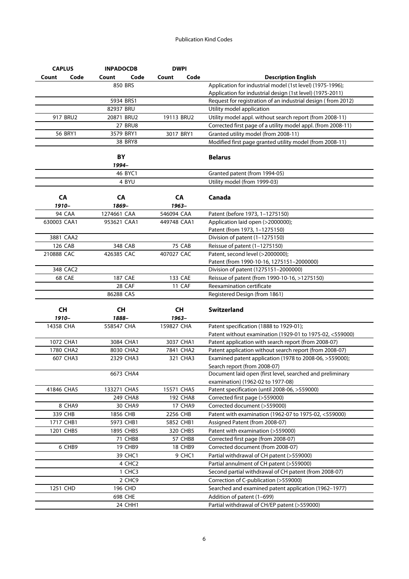| <b>CAPLUS</b> |        | <b>INPADOCDB</b> |                    |             | <b>DWPI</b>    |                                                              |
|---------------|--------|------------------|--------------------|-------------|----------------|--------------------------------------------------------------|
| Count         | Code   | Count            | Code               | Count       | Code           | <b>Description English</b>                                   |
|               |        | 850 BRS          |                    |             |                | Application for industrial model (1st level) (1975-1996);    |
|               |        |                  |                    |             |                | Application for industrial design (1st level) (1975-2011)    |
|               |        | 5934 BRS1        |                    |             |                | Request for registration of an industrial design (from 2012) |
|               |        | 82937 BRU        |                    |             |                | Utility model application                                    |
| 917 BRU2      |        | 20871 BRU2       |                    | 19113 BRU2  |                | Utility model appl. without search report (from 2008-11)     |
|               |        |                  | <b>27 BRU8</b>     |             |                | Corrected first page of a utility model appl. (from 2008-11) |
| 56 BRY1       |        | 3579 BRY1        |                    |             | 3017 BRY1      | Granted utility model (from 2008-11)                         |
|               |        |                  | 38 BRY8            |             |                | Modified first page granted utility model (from 2008-11)     |
|               |        |                  |                    |             |                |                                                              |
|               |        | BY               |                    |             |                | <b>Belarus</b>                                               |
|               |        | 1994–            |                    |             |                |                                                              |
|               |        |                  | 46 BYC1            |             |                | Granted patent (from 1994-05)                                |
|               |        |                  | 4 BYU              |             |                | Utility model (from 1999-03)                                 |
|               |        |                  |                    |             |                |                                                              |
| CA            |        | CA               |                    |             | CA             | Canada                                                       |
| 1910-         |        | 1869-            |                    | 1963-       |                |                                                              |
| 94 CAA        |        | 1274661 CAA      |                    | 546094 CAA  |                | Patent (before 1973, 1-1275150)                              |
| 630003 CAA1   |        | 953621 CAA1      |                    | 449748 CAA1 |                | Application laid open (>2000000);                            |
|               |        |                  |                    |             |                | Patent (from 1973, 1-1275150)                                |
| 3881 CAA2     |        |                  |                    |             |                | Division of patent (1-1275150)                               |
| 126 CAB       |        |                  | 348 CAB            |             | 75 CAB         | Reissue of patent (1-1275150)                                |
| 210888 CAC    |        | 426385 CAC       |                    | 407027 CAC  |                | Patent, second level (>2000000);                             |
|               |        |                  |                    |             |                | Patent (from 1990-10-16, 1275151-2000000)                    |
| 348 CAC2      |        |                  |                    |             |                | Division of patent (1275151-2000000)                         |
| 68 CAE        |        | <b>187 CAE</b>   |                    |             | 133 CAE        | Reissue of patent (from 1990-10-16, >1275150)                |
|               |        |                  | 28 CAF             |             | 11 CAF         | Reexamination certificate                                    |
|               |        | 86288 CAS        |                    |             |                | Registered Design (from 1861)                                |
|               |        |                  |                    |             |                |                                                              |
| <b>CH</b>     |        | <b>CH</b>        |                    |             | <b>CH</b>      | <b>Switzerland</b>                                           |
| 1910-         |        | 1888-            |                    |             | 1963-          |                                                              |
| 14358 CHA     |        | 558547 CHA       |                    | 159827 CHA  |                | Patent specification (1888 to 1929-01);                      |
|               |        |                  |                    |             |                | Patent without examination (1929-01 to 1975-02, <559000)     |
| 1072 CHA1     |        | 3084 CHA1        |                    |             | 3037 CHA1      | Patent application with search report (from 2008-07)         |
| 1780 CHA2     |        |                  | 8030 CHA2          |             | 7841 CHA2      | Patent application without search report (from 2008-07)      |
| 607 CHA3      |        |                  | 2329 CHA3          |             | 321 CHA3       | Examined patent application (1978 to 2008-06, >559000);      |
|               |        |                  |                    |             |                | Search report (from 2008-07)                                 |
|               |        |                  | 6673 CHA4          |             |                | Document laid open (first level, searched and preliminary    |
| 41846 CHA5    |        | 133271 CHA5      |                    | 15571 CHA5  |                | examination) (1962-02 to 1977-08)                            |
|               |        |                  |                    |             |                | Patent specification (until 2008-06, >559000)                |
|               |        |                  | 249 CHA8           |             | 192 CHA8       | Corrected first page (>559000)                               |
|               | 8 CHA9 |                  | 30 CHA9            |             | <b>17 CHA9</b> | Corrected document (>559000)                                 |
| 339 CHB       |        | 1856 CHB         |                    | 2256 CHB    |                | Patent with examination (1962-07 to 1975-02, <559000)        |
| 1717 CHB1     |        | 5973 CHB1        |                    |             | 5852 CHB1      | Assigned Patent (from 2008-07)                               |
| 1201 CHB5     |        |                  | 1895 CHB5          |             | 320 CHB5       | Patent with examination (>559000)                            |
|               |        |                  | 71 CHB8            |             | 57 CHB8        | Corrected first page (from 2008-07)                          |
|               | 6 CHB9 |                  | 19 CHB9            |             | 18 CHB9        | Corrected document (from 2008-07)                            |
|               |        |                  | 39 CHC1            |             | 9 CHC1         | Partial withdrawal of CH patent (>559000)                    |
|               |        |                  | 4 CHC <sub>2</sub> |             |                | Partial annulment of CH patent (>559000)                     |
|               |        |                  | 1 CHC3             |             |                | Second partial withdrawal of CH patent (from 2008-07)        |
|               |        |                  | 2 CHC <sub>9</sub> |             |                | Correction of C-publication (>559000)                        |
| 1251 CHD      |        |                  | 196 CHD            |             |                | Searched and examined patent application (1962-1977)         |
|               |        |                  | 698 CHE            |             |                | Addition of patent (1-699)                                   |
|               |        |                  | 24 CHH1            |             |                | Partial withdrawal of CH/EP patent (>559000)                 |
|               |        |                  |                    |             |                |                                                              |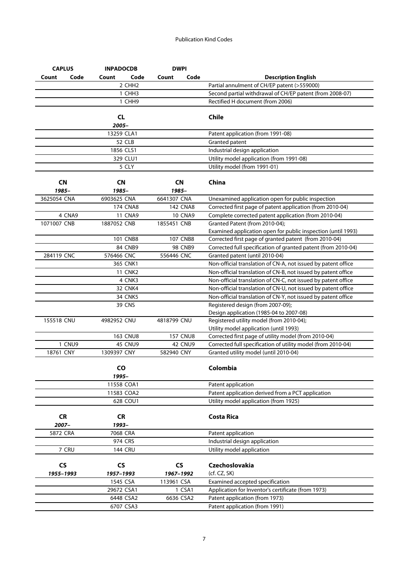| <b>CAPLUS</b>        |                | <b>INPADOCDB</b>   | <b>DWPI</b>          |                                                               |                                                               |
|----------------------|----------------|--------------------|----------------------|---------------------------------------------------------------|---------------------------------------------------------------|
| Count                | Code           | Code<br>Count      | Count                | Code                                                          | <b>Description English</b>                                    |
|                      |                | 2 CHH <sub>2</sub> |                      |                                                               | Partial annulment of CH/EP patent (>559000)                   |
|                      |                | 1 CHH <sub>3</sub> |                      |                                                               | Second partial withdrawal of CH/EP patent (from 2008-07)      |
|                      |                | 1 CHH9             |                      |                                                               | Rectified H document (from 2006)                              |
|                      |                | <b>CL</b><br>2005- |                      |                                                               | <b>Chile</b>                                                  |
|                      |                | 13259 CLA1         |                      |                                                               | Patent application (from 1991-08)                             |
|                      |                | 52 CLB             |                      |                                                               | Granted patent                                                |
|                      |                | 1856 CLS1          |                      |                                                               | Industrial design application                                 |
|                      |                | 329 CLU1           |                      |                                                               | Utility model application (from 1991-08)                      |
|                      |                | 5 CLY              |                      |                                                               | Utility model (from 1991-01)                                  |
| <b>CN</b>            |                | <b>CN</b>          | <b>CN</b>            |                                                               | China                                                         |
| 1985-                |                | 1985-              | 1985-                |                                                               |                                                               |
| 3625054 CNA          |                | 6903625 CNA        | 6641307 CNA          |                                                               | Unexamined application open for public inspection             |
|                      |                | <b>174 CNA8</b>    |                      | 142 CNA8                                                      | Corrected first page of patent application (from 2010-04)     |
| 4 CNA9               |                | <b>11 CNA9</b>     |                      | <b>10 CNA9</b>                                                | Complete corrected patent application (from 2010-04)          |
| 1071007 CNB          |                | 1887052 CNB        | 1855451 CNB          |                                                               | Granted Patent (from 2010-04);                                |
|                      |                |                    |                      |                                                               | Examined application open for public inspection (until 1993)  |
|                      |                | <b>101 CNB8</b>    |                      | <b>107 CNB8</b>                                               | Corrected first page of granted patent (from 2010-04)         |
|                      |                | 84 CNB9            |                      | <b>98 CNB9</b>                                                | Corrected full specification of granted patent (from 2010-04) |
| 284119 CNC           |                | 576466 CNC         | 556446 CNC           |                                                               | Granted patent (until 2010-04)                                |
|                      |                | 365 CNK1           |                      |                                                               | Non-official translation of CN-A, not issued by patent office |
|                      |                | <b>11 CNK2</b>     |                      |                                                               | Non-official translation of CN-B, not issued by patent office |
|                      | 4 CNK3         |                    |                      | Non-official translation of CN-C, not issued by patent office |                                                               |
|                      | <b>32 CNK4</b> |                    |                      | Non-official translation of CN-U, not issued by patent office |                                                               |
|                      |                | <b>34 CNK5</b>     |                      |                                                               | Non-official translation of CN-Y, not issued by patent office |
|                      |                | <b>39 CNS</b>      |                      |                                                               | Registered design (from 2007-09);                             |
|                      |                |                    |                      |                                                               | Design application (1985-04 to 2007-08)                       |
| 155518 CNU           |                | 4982952 CNU        | 4818799 CNU          |                                                               | Registered utility model (from 2010-04);                      |
|                      |                |                    |                      |                                                               | Utility model application (until 1993)                        |
|                      |                | <b>163 CNU8</b>    |                      | <b>157 CNU8</b>                                               | Corrected first page of utility model (from 2010-04)          |
| 1 CNU9               |                | <b>45 CNU9</b>     |                      | <b>42 CNU9</b>                                                | Corrected full specification of utility model (from 2010-04)  |
| 18761 CNY            |                | 1309397 CNY        | 582940 CNY           |                                                               | Granted utility model (until 2010-04)                         |
|                      |                | CO<br>1995–        |                      |                                                               | Colombia                                                      |
|                      |                | 11558 COA1         |                      |                                                               | Patent application                                            |
|                      |                | 11583 COA2         |                      |                                                               | Patent application derived from a PCT application             |
|                      |                | 628 COU1           |                      |                                                               | Utility model application (from 1925)                         |
| <b>CR</b><br>2007-   |                | <b>CR</b><br>1993- |                      |                                                               | <b>Costa Rica</b>                                             |
| 5872 CRA             |                | 7068 CRA           |                      |                                                               | Patent application                                            |
|                      |                | 974 CRS            |                      |                                                               | Industrial design application                                 |
| 7 CRU                |                | <b>144 CRU</b>     |                      |                                                               | Utility model application                                     |
|                      |                |                    |                      |                                                               |                                                               |
| $\mathsf{CS}\xspace$ |                | <b>CS</b>          | $\mathsf{CS}\xspace$ |                                                               | Czechoslovakia                                                |
| 1955-1993            |                | 1957-1993          | 1967-1992            |                                                               | (cf. CZ, SK)                                                  |
|                      |                | 1545 CSA           | 113961 CSA           |                                                               | Examined accepted specification                               |
|                      |                | 29672 CSA1         |                      | 1 CSA1                                                        | Application for Inventor's certificate (from 1973)            |
|                      |                | 6448 CSA2          | 6636 CSA2            |                                                               | Patent application (from 1973)                                |
|                      |                | 6707 CSA3          |                      |                                                               | Patent application (from 1991)                                |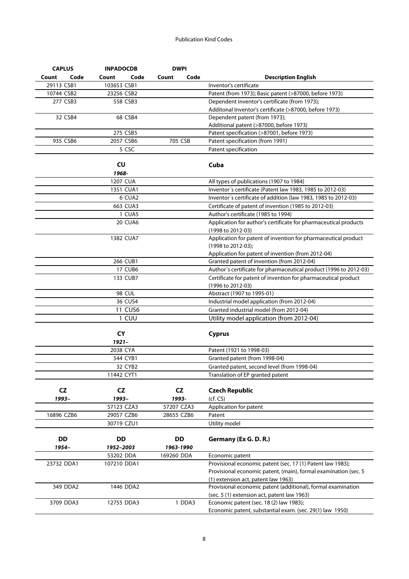| <b>CAPLUS</b> |      | <b>INPADOCDB</b> |                | <b>DWPI</b> |           |                                                                                        |
|---------------|------|------------------|----------------|-------------|-----------|----------------------------------------------------------------------------------------|
| Count         | Code | Count            | Code           | Count       | Code      | <b>Description English</b>                                                             |
| 29113 CSB1    |      | 103653 CSB1      |                |             |           | Inventor's certificate                                                                 |
| 10744 CSB2    |      | 23256 CSB2       |                |             |           | Patent (from 1973); Basic patent (>87000, before 1973)                                 |
| 277 CSB3      |      |                  | 558 CSB3       |             |           | Dependent inventor's certificate (from 1973);                                          |
|               |      |                  |                |             |           | Additonal Inventor's certificate (>87000, before 1973)                                 |
| 32 CSB4       |      | 68 CSB4          |                |             |           | Dependent patent (from 1973);                                                          |
|               |      |                  |                |             |           | Additional patent (>87000, before 1973)                                                |
|               |      | 275 CSB5         |                |             |           | Patent specification (>87001, before 1973)                                             |
| 935 CSB6      |      | 2057 CSB6        |                |             | 705 CSB   | Patent specification (from 1991)                                                       |
|               |      |                  | 5 CSC          |             |           | Patent specification                                                                   |
|               |      | <b>CU</b>        |                |             |           | Cuba                                                                                   |
|               |      | 1968-            |                |             |           |                                                                                        |
|               |      | 1207 CUA         |                |             |           | All types of publications (1907 to 1984)                                               |
|               |      |                  | 1351 CUA1      |             |           | Inventor's certificate (Patent law 1983, 1985 to 2012-03)                              |
|               |      |                  | 6 CUA2         |             |           | Inventor's certificate of addition (law 1983, 1985 to 2012-03)                         |
|               |      |                  | 663 CUA3       |             |           | Certificate of patent of invention (1985 to 2012-03)                                   |
|               |      |                  | 1 CUA5         |             |           | Author's certificate (1985 to 1994)                                                    |
|               |      |                  | 20 CUA6        |             |           | Application for author's certificate for pharmaceutical products                       |
|               |      |                  |                |             |           | (1998 to 2012-03)                                                                      |
|               |      | 1382 CUA7        |                |             |           | Application for patent of invention for pharmaceutical product                         |
|               |      |                  |                |             |           | (1998 to 2012-03);                                                                     |
|               |      |                  |                |             |           | Application for patent of invention (from 2012-04)                                     |
|               |      |                  | 266 CUB1       |             |           | Granted patent of invention (from 2012-04)                                             |
|               |      |                  | <b>17 CUB6</b> |             |           | Author's certificate for pharmaceutical product (1996 to 2012-03)                      |
|               |      |                  | 133 CUB7       |             |           | Certificate for patent of invention for pharmaceutical product                         |
|               |      |                  |                |             |           | (1996 to 2012-03)                                                                      |
|               |      | <b>98 CUL</b>    |                |             |           | Abstract (1907 to 1995-01)                                                             |
|               |      |                  | 36 CUS4        |             |           | Industrial model application (from 2012-04)                                            |
|               |      |                  | <b>11 CUS6</b> |             |           | Granted industrial model (from 2012-04)                                                |
|               |      |                  | 1 CUU          |             |           | Utility model application (from 2012-04)                                               |
|               |      |                  |                |             |           |                                                                                        |
|               |      | <b>CY</b>        |                |             |           | <b>Cyprus</b>                                                                          |
|               |      | $1921 -$         |                |             |           |                                                                                        |
|               |      | 2038 CYA         |                |             |           | Patent (1921 to 1998-03)                                                               |
|               |      | 544 CYB1         |                |             |           | Granted patent (from 1998-04)                                                          |
|               |      |                  | 32 CYB2        |             |           | Granted patent, second level (from 1998-04)                                            |
|               |      | 11442 CYT1       |                |             |           | Translation of EP granted patent                                                       |
| CZ            |      | <b>CZ</b>        |                |             | <b>CZ</b> | <b>Czech Republic</b>                                                                  |
| 1993-         |      | 1993-            |                | 1993-       |           | (cf. CS)                                                                               |
|               |      | 57123 CZA3       |                | 57207 CZA3  |           | Application for patent                                                                 |
| 16896 CZB6    |      | 29057 CZB6       |                | 28655 CZB6  |           | Patent                                                                                 |
|               |      | 30719 CZU1       |                |             |           | Utility model                                                                          |
|               |      |                  |                |             |           |                                                                                        |
| DD            |      | <b>DD</b>        |                | <b>DD</b>   |           | Germany (Ex G. D. R.)                                                                  |
| 1954-         |      | 1952-2003        |                | 1963-1990   |           |                                                                                        |
|               |      | 53202 DDA        |                | 169260 DDA  |           | Economic patent                                                                        |
| 23732 DDA1    |      | 107210 DDA1      |                |             |           | Provisional economic patent (sec. 17 (1) Patent law 1983);                             |
|               |      |                  |                |             |           | Provisional economic patent, (main), formal examination (sec. 5                        |
|               |      |                  |                |             |           | (1) extension act, patent law 1963)                                                    |
| 349 DDA2      |      | 1446 DDA2        |                |             |           | Provisional economic patent (additional), formal examination                           |
| 3709 DDA3     |      | 12755 DDA3       |                |             | 1 DDA3    | (sec. 5 (1) extension act, patent law 1963)<br>Economic patent (sec. 18 (2) law 1983); |
|               |      |                  |                |             |           | Economic patent, substantial exam. (sec. 29(1) law 1950)                               |
|               |      |                  |                |             |           |                                                                                        |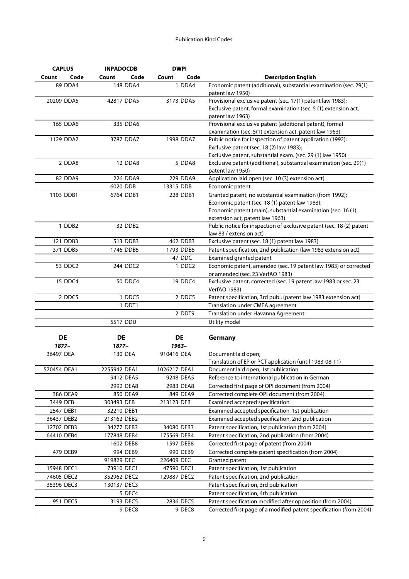| <b>CAPLUS</b>      | <b>INPADOCDB</b> | <b>DWPI</b>   |                                                                                                      |
|--------------------|------------------|---------------|------------------------------------------------------------------------------------------------------|
| Count<br>Code      | Count<br>Code    | Count<br>Code | <b>Description English</b>                                                                           |
| 89 DDA4            | 148 DDA4         | 1 DDA4        | Economic patent (additional), substantial examination (sec. 29(1)                                    |
|                    |                  |               | patent law 1950)                                                                                     |
| 20209 DDA5         | 42817 DDA5       | 3173 DDA5     | Provisional exclusive patent (sec. 17(1) patent law 1983);                                           |
|                    |                  |               | Exclusive patent, formal examination (sec. 5 (1) extension act,                                      |
|                    |                  |               | patent law 1963)                                                                                     |
| 165 DDA6           | 335 DDA6         |               | Provisional exclusive patent (additional patent), formal                                             |
|                    |                  |               | examination (sec. 5(1) extension act, patent law 1963)                                               |
| 1129 DDA7          | 3787 DDA7        | 1998 DDA7     | Public notice for inspection of patent application (1992);                                           |
|                    |                  |               | Exclusive patent (sec. 18 (2) law 1983);                                                             |
|                    |                  |               | Exclusive patent, substantial exam. (sec. 29 (1) law 1950)                                           |
| 2 DDA8             | 12 DDA8          | 5 DDA8        | Exclusive patent (additional), substantial examination (sec. 29(1)                                   |
|                    |                  |               | patent law 1950)                                                                                     |
| 82 DDA9            | 226 DDA9         | 229 DDA9      | Application laid open (sec. 10 (3) extension act)                                                    |
|                    | 6020 DDB         | 13315 DDB     | Economic patent                                                                                      |
| 1103 DDB1          | 6764 DDB1        | 228 DDB1      | Granted patent, no substantial examination (from 1992);                                              |
|                    |                  |               | Economic patent (sec. 18 (1) patent law 1983);                                                       |
|                    |                  |               | Economic patent (main), substantial examination (sec. 16 (1)                                         |
|                    |                  |               | extension act, patent law 1963)                                                                      |
| 1 DDB <sub>2</sub> | 32 DDB2          |               | Public notice for inspection of exclusive patent (sec. 18 (2) patent                                 |
| 121 DDB3           | 513 DDB3         | 462 DDB3      | law 83 / extension act)                                                                              |
| 371 DDB5           | 1746 DDB5        | 1793 DDB5     | Exclusive patent (sec. 18 (1) patent law 1983)                                                       |
|                    |                  |               | Patent specification, 2nd publication (law 1983 extension act)                                       |
|                    |                  | 47 DDC        | Examined granted patent                                                                              |
| 53 DDC2            | 244 DDC2         | 1 DDC2        | Economic patent, amended (sec. 19 patent law 1983) or corrected                                      |
|                    |                  |               | or amended (sec. 23 VerfAO 1983)                                                                     |
| 15 DDC4            | 50 DDC4          | 19 DDC4       | Exclusive patent, corrected (sec. 19 patent law 1983 or sec. 23                                      |
| 2 DDC5             | 1 DDC5           | 2 DDC5        | VerfAO 1983)<br>Patent specification, 3rd publ. (patent law 1983 extension act)                      |
|                    | 1 DDT1           |               | Translation under CMEA agreement                                                                     |
|                    |                  |               |                                                                                                      |
|                    |                  | 2 DDT9        | Translation under Havanna Agreement                                                                  |
|                    | 5517 DDU         |               | Utility model                                                                                        |
| DE                 | DE               | <b>DE</b>     | Germany                                                                                              |
| 1877–              | 1877-            | 1963-         |                                                                                                      |
| 36497 DEA          | 130 DEA          | 910416 DEA    | Document laid open;                                                                                  |
|                    |                  |               | Translation of EP or PCT application (until 1983-08-11)                                              |
| 570454 DEA1        | 2255942 DEA1     | 1026217 DEA1  | Document laid open, 1st publication                                                                  |
|                    | 9412 DEA5        | 9248 DEA5     | Reference to international publication in German                                                     |
|                    | 2992 DEA8        | 2983 DEA8     | Corrected first page of OPI document (from 2004)                                                     |
| 386 DEA9           | 850 DEA9         | 849 DEA9      | Corrected complete OPI document (from 2004)                                                          |
| 3449 DEB           | 303493 DEB       | 213123 DEB    | Examined accepted specification                                                                      |
|                    |                  |               |                                                                                                      |
| 2547 DEB1          | 32210 DEB1       |               | Examined accepted specification, 1st publication<br>Examined accepted specification, 2nd publication |
| 36437 DEB2         | 213162 DEB2      |               |                                                                                                      |
| 12702 DEB3         | 34277 DEB3       | 34080 DEB3    | Patent specification, 1st publication (from 2004)                                                    |
| 64410 DEB4         | 177848 DEB4      | 175569 DEB4   | Patent specification, 2nd publication (from 2004)                                                    |
|                    | 1602 DEB8        | 1597 DEB8     | Corrected first page of patent (from 2004)                                                           |
| 479 DEB9           | 994 DEB9         | 990 DEB9      | Corrected complete patent specification (from 2004)                                                  |
|                    | 919829 DEC       | 226409 DEC    | Granted patent                                                                                       |
| 15948 DEC1         | 73910 DEC1       | 47590 DEC1    | Patent specification, 1st publication                                                                |
| 74605 DEC2         | 352962 DEC2      | 129887 DEC2   | Patent specification, 2nd publication                                                                |
| 35396 DEC3         | 130137 DEC3      |               | Patent specification, 3rd publication                                                                |
|                    | 5 DEC4           |               | Patent specification, 4th publication                                                                |
| 951 DEC5           | 3193 DEC5        | 2836 DEC5     | Patent specification modified after opposition (from 2004)                                           |
|                    | 9 DEC8           | 9 DEC8        | Corrected first page of a modified patent specification (from 2004)                                  |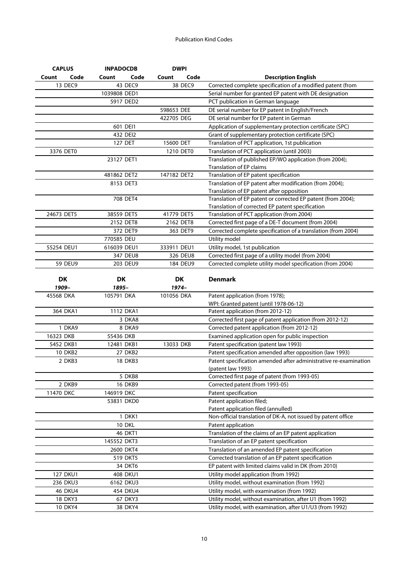| <b>CAPLUS</b>  | <b>INPADOCDB</b> | <b>DWPI</b>   |                                                                           |
|----------------|------------------|---------------|---------------------------------------------------------------------------|
| Code<br>Count  | Code<br>Count    | Count<br>Code | <b>Description English</b>                                                |
| 13 DEC9        | 43 DEC9          | 38 DEC9       | Corrected complete specification of a modified patent (from               |
|                | 1039808 DED1     |               | Serial number for granted EP patent with DE designation                   |
|                | 5917 DED2        |               | PCT publication in German language                                        |
|                |                  | 598653 DEE    | DE serial number for EP patent in English/French                          |
|                |                  | 422705 DEG    | DE serial number for EP patent in German                                  |
|                | 601 DEI1         |               | Application of supplementary protection certificate (SPC)                 |
|                | 432 DEI2         |               | Grant of supplementary protection certificate (SPC)                       |
|                | 127 DET          | 15600 DET     | Translation of PCT application, 1st publication                           |
| 3376 DET0      |                  | 1210 DET0     | Translation of PCT application (until 2003)                               |
|                | 23127 DET1       |               | Translation of published EP/WO application (from 2004);                   |
|                |                  |               | <b>Translation of EP claims</b>                                           |
|                | 481862 DET2      | 147182 DET2   | Translation of EP patent specification                                    |
|                | 8153 DET3        |               | Translation of EP patent after modification (from 2004);                  |
|                |                  |               | Translation of EP patent after opposition                                 |
|                | 708 DET4         |               | Translation of EP patent or corrected EP patent (from 2004);              |
| 24673 DET5     | 38559 DET5       |               | Translation of corrected EP patent specification                          |
|                |                  | 41779 DET5    | Translation of PCT application (from 2004)                                |
|                | 2152 DET8        | 2162 DET8     | Corrected first page of a DE-T document (from 2004)                       |
|                | 372 DET9         | 363 DET9      | Corrected complete specification of a translation (from 2004)             |
|                | 770585 DEU       |               | Utility model                                                             |
| 55254 DEU1     | 616039 DEU1      | 333911 DEU1   | Utility model, 1st publication                                            |
|                | 347 DEU8         | 326 DEU8      | Corrected first page of a utility model (from 2004)                       |
| <b>59 DEU9</b> | 203 DEU9         | 184 DEU9      | Corrected complete utility model specification (from 2004)                |
|                |                  |               |                                                                           |
| DK<br>1909-    | DK<br>1895-      | DK<br>$1974-$ | <b>Denmark</b>                                                            |
|                |                  |               |                                                                           |
| 45568 DKA      | 105791 DKA       | 101056 DKA    | Patent application (from 1978);<br>WPI: Granted patent (until 1978-06-12) |
| 364 DKA1       | 1112 DKA1        |               | Patent application (from 2012-12)                                         |
|                | 3 DKA8           |               | Corrected first page of patent application (from 2012-12)                 |
| 1 DKA9         | 8 DKA9           |               | Corrected patent application (from 2012-12)                               |
| 16323 DKB      | 55436 DKB        |               | Examined application open for public inspection                           |
| 5452 DKB1      | 12481 DKB1       | 13033 DKB     | Patent specification (patent law 1993)                                    |
| <b>10 DKB2</b> | <b>27 DKB2</b>   |               | Patent specification amended after opposition (law 1993)                  |
| 2 DKB3         | <b>18 DKB3</b>   |               | Patent specification amended after administrative re-examination          |
|                |                  |               | (patent law 1993)                                                         |
|                | 5 DKB8           |               | Corrected first page of patent (from 1993-05)                             |
| 2 DKB9         | 16 DKB9          |               | Corrected patent (from 1993-05)                                           |
| 11470 DKC      | 146919 DKC       |               | Patent specification                                                      |
|                | 53831 DKD0       |               | Patent application filed;                                                 |
|                |                  |               | Patent application filed (annulled)                                       |
|                | 1 DKK1           |               | Non-official translation of DK-A, not issued by patent office             |
|                | 10 DKL           |               | Patent application                                                        |
|                | <b>46 DKT1</b>   |               | Translation of the claims of an EP patent application                     |
|                | 145552 DKT3      |               | Translation of an EP patent specification                                 |
|                | 2600 DKT4        |               | Translation of an amended EP patent specification                         |
|                | 519 DKT5         |               | Corrected translation of an EP patent specification                       |
|                | 34 DKT6          |               | EP patent with limited claims valid in DK (from 2010)                     |
| 127 DKU1       | 408 DKU1         |               | Utility model application (from 1992)                                     |
| 236 DKU3       | 6162 DKU3        |               | Utility model, without examination (from 1992)                            |
| <b>46 DKU4</b> | 454 DKU4         |               | Utility model, with examination (from 1992)                               |
| 18 DKY3        | 67 DKY3          |               | Utility model, without examination, after U1 (from 1992)                  |
| <b>10 DKY4</b> | 38 DKY4          |               | Utility model, with examination, after U1/U3 (from 1992)                  |
|                |                  |               |                                                                           |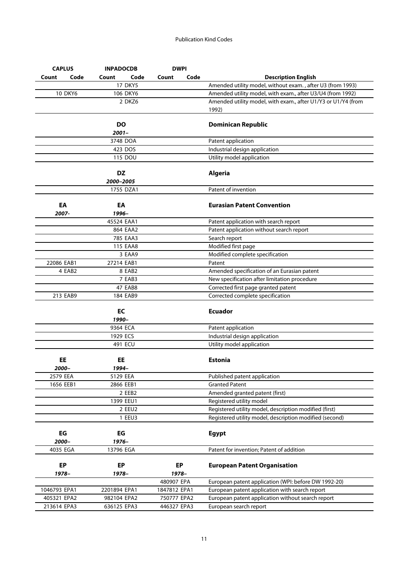| <b>CAPLUS</b>  |      | <b>INPADOCDB</b> |                 | <b>DWPI</b>  |      |                                                               |
|----------------|------|------------------|-----------------|--------------|------|---------------------------------------------------------------|
| Count          | Code | Count            | Code            | Count        | Code | <b>Description English</b>                                    |
|                |      |                  | <b>17 DKY5</b>  |              |      | Amended utility model, without exam., after U3 (from 1993)    |
| <b>10 DKY6</b> |      |                  | 106 DKY6        |              |      | Amended utility model, with exam., after U3/U4 (from 1992)    |
|                |      |                  | 2 DKZ6          |              |      | Amended utility model, with exam., after U1/Y3 or U1/Y4 (from |
|                |      |                  |                 |              |      | 1992)                                                         |
|                |      | DO               |                 |              |      | <b>Dominican Republic</b>                                     |
|                |      | $2001 -$         |                 |              |      |                                                               |
|                |      | 3748 DOA         |                 |              |      | Patent application                                            |
|                |      | 423 DOS          |                 |              |      | Industrial design application                                 |
|                |      |                  | 115 DOU         |              |      | Utility model application                                     |
|                |      | <b>DZ</b>        |                 |              |      | <b>Algeria</b>                                                |
|                |      | 2000–2005        |                 |              |      |                                                               |
|                |      | 1755 DZA1        |                 |              |      | Patent of invention                                           |
| EA             |      | EA               |                 |              |      | <b>Eurasian Patent Convention</b>                             |
| 2007-          |      | 1996-            |                 |              |      |                                                               |
|                |      | 45524 EAA1       |                 |              |      | Patent application with search report                         |
|                |      |                  | 864 EAA2        |              |      | Patent application without search report                      |
|                |      |                  | 785 EAA3        |              |      | Search report                                                 |
|                |      |                  | <b>115 EAA8</b> |              |      | Modified first page                                           |
|                |      |                  | 3 EAA9          |              |      | Modified complete specification                               |
| 22086 EAB1     |      | 27214 EAB1       |                 |              |      | Patent                                                        |
| 4 EAB2         |      |                  | 8 EAB2          |              |      | Amended specification of an Eurasian patent                   |
|                |      |                  | 7 EAB3          |              |      | New specification after limitation procedure                  |
|                |      |                  | <b>47 EAB8</b>  |              |      | Corrected first page granted patent                           |
| 213 EAB9       |      |                  | 184 EAB9        |              |      | Corrected complete specification                              |
|                |      | EC               |                 |              |      | <b>Ecuador</b>                                                |
|                |      | 1990-            |                 |              |      |                                                               |
|                |      | 9364 ECA         |                 |              |      | Patent application                                            |
|                |      | 1929 ECS         |                 |              |      | Industrial design application                                 |
|                |      | 491 ECU          |                 |              |      | Utility model application                                     |
| EE             |      | EE               |                 |              |      | <b>Estonia</b>                                                |
| 2000-          |      | 1994–            |                 |              |      |                                                               |
| 2579 EEA       |      | 5129 EEA         |                 |              |      | Published patent application                                  |
| 1656 EEB1      |      | 2866 EEB1        |                 |              |      | <b>Granted Patent</b>                                         |
|                |      |                  | 2 EEB2          |              |      | Amended granted patent (first)                                |
|                |      | 1399 EEU1        |                 |              |      | Registered utility model                                      |
|                |      |                  | 2 EEU2          |              |      | Registered utility model, description modified (first)        |
|                |      |                  | 1 EEU3          |              |      | Registered utility model, description modified (second)       |
| EG             |      | EG               |                 |              |      | <b>Egypt</b>                                                  |
| 2000-          |      | 1976-            |                 |              |      |                                                               |
| 4035 EGA       |      | 13796 EGA        |                 |              |      | Patent for invention; Patent of addition                      |
|                |      |                  |                 |              |      |                                                               |
| <b>EP</b>      |      | <b>EP</b>        |                 | EP           |      | <b>European Patent Organisation</b>                           |
| 1978–          |      | 1978–            |                 | 1978-        |      |                                                               |
|                |      |                  |                 | 480907 EPA   |      | European patent application (WPI: before DW 1992-20)          |
| 1046793 EPA1   |      | 2201894 EPA1     |                 | 1847812 EPA1 |      | European patent application with search report                |
| 405321 EPA2    |      | 982104 EPA2      |                 | 750777 EPA2  |      | European patent application without search report             |
| 213614 EPA3    |      | 636125 EPA3      |                 | 446327 EPA3  |      | European search report                                        |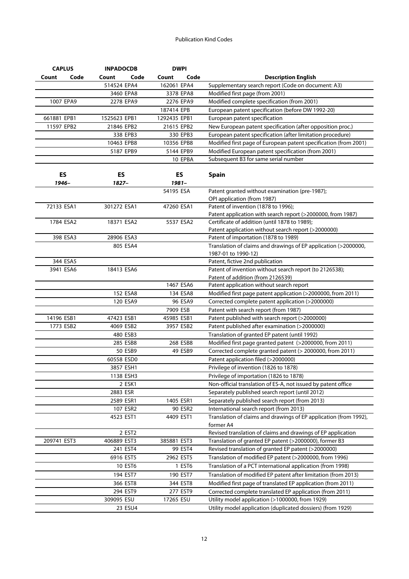| <b>CAPLUS</b> | <b>INPADOCDB</b> |           |              | <b>DWPI</b> |                                                                   |
|---------------|------------------|-----------|--------------|-------------|-------------------------------------------------------------------|
| Code<br>Count | Count            | Code      | Count        | Code        | <b>Description English</b>                                        |
|               | 514524 EPA4      |           | 162061 EPA4  |             | Supplementary search report (Code on document: A3)                |
|               |                  | 3460 EPA8 |              | 3378 EPA8   | Modified first page (from 2001)                                   |
| 1007 EPA9     |                  | 2278 EPA9 |              | 2276 EPA9   | Modified complete specification (from 2001)                       |
|               |                  |           | 187414 EPB   |             | European patent specification (before DW 1992-20)                 |
| 661881 EPB1   | 1525623 EPB1     |           | 1292435 EPB1 |             | European patent specification                                     |
| 11597 EPB2    | 21846 EPB2       |           | 21615 EPB2   |             | New European patent specification (after opposition proc.)        |
|               |                  | 338 EPB3  |              | 330 EPB3    | European patent specification (after limitation procedure)        |
|               | 10463 EPB8       |           | 10356 EPB8   |             | Modified first page of European patent specification (from 2001)  |
|               |                  | 5187 EPB9 |              | 5144 EPB9   | Modified European patent specification (from 2001)                |
|               |                  |           |              | 10 EPBA     | Subsequent B3 for same serial number                              |
|               |                  |           |              |             |                                                                   |
| ES            | <b>ES</b>        |           |              | ES          | <b>Spain</b>                                                      |
| 1946-         | 1827-            |           |              | $1981 -$    |                                                                   |
|               |                  |           | 54195 ESA    |             | Patent granted without examination (pre-1987);                    |
|               |                  |           |              |             | OPI application (from 1987)                                       |
| 72133 ESA1    | 301272 ESA1      |           | 47260 ESA1   |             | Patent of invention (1878 to 1996);                               |
|               |                  |           |              |             | Patent application with search report (>2000000, from 1987)       |
| 1784 ESA2     | 18371 ESA2       |           |              | 5537 ESA2   | Certificate of addition (until 1878 to 1989);                     |
|               |                  |           |              |             | Patent application without search report (>2000000)               |
| 398 ESA3      | 28906 ESA3       |           |              |             | Patent of importation (1878 to 1989)                              |
|               |                  | 805 ESA4  |              |             | Translation of claims and drawings of EP application (>2000000,   |
|               |                  |           |              |             | 1987-01 to 1990-12)                                               |
| 344 ESA5      |                  |           |              |             | Patent, fictive 2nd publication                                   |
| 3941 ESA6     | 18413 ESA6       |           |              |             | Patent of invention without search report (to 2126538);           |
|               |                  |           |              |             | Patent of addition (from 2126539)                                 |
|               |                  |           |              | 1467 ESA6   | Patent application without search report                          |
|               |                  | 152 ESA8  |              | 134 ESA8    | Modified first page patent application (>2000000, from 2011)      |
|               |                  | 120 ESA9  |              | 96 ESA9     | Corrected complete patent application (>2000000)                  |
|               |                  |           | 7909 ESB     |             | Patent with search report (from 1987)                             |
| 14196 ESB1    | 47423 ESB1       |           | 45985 ESB1   |             | Patent published with search report (>2000000)                    |
| 1773 ESB2     |                  | 4069 ESB2 |              | 3957 ESB2   | Patent published after examination (>2000000)                     |
|               |                  | 480 ESB3  |              |             | Translation of granted EP patent (until 1992)                     |
|               |                  | 285 ESB8  |              | 268 ESB8    | Modified first page granted patent (>2000000, from 2011)          |
|               |                  | 50 ESB9   |              | 49 ESB9     | Corrected complete granted patent (> 2000000, from 2011)          |
|               | 60558 ESD0       |           |              |             | Patent application filed (>2000000)                               |
|               |                  | 3857 ESH1 |              |             | Privilege of invention (1826 to 1878)                             |
|               |                  | 1138 ESH3 |              |             | Privilege of importation (1826 to 1878)                           |
|               |                  | 2 ESK1    |              |             | Non-official translation of ES-A, not issued by patent office     |
|               | 2883 ESR         |           |              |             | Separately published search report (until 2012)                   |
|               |                  | 2589 ESR1 |              | 1405 ESR1   | Separately published search report (from 2013)                    |
|               |                  | 107 ESR2  |              | 90 ESR2     | International search report (from 2013)                           |
|               | 4523 EST1        |           | 4409 EST1    |             | Translation of claims and drawings of EP application (from 1992), |
|               |                  |           |              |             | former A4                                                         |
|               |                  | 2 EST2    |              |             | Revised translation of claims and drawings of EP application      |
| 209741 EST3   | 406889 EST3      |           | 385881 EST3  |             | Translation of granted EP patent (>2000000), former B3            |
|               |                  | 241 EST4  |              | 99 EST4     | Revised translation of granted EP patent (>2000000)               |
|               |                  | 6916 EST5 |              | 2962 EST5   | Translation of modified EP patent (>2000000, from 1996)           |
|               |                  | 10 EST6   |              | 1 EST6      | Translation of a PCT international application (from 1998)        |
|               |                  | 194 EST7  |              | 190 EST7    | Translation of modified EP patent after limitation (from 2013)    |
|               |                  | 366 EST8  |              | 344 EST8    | Modified first page of translated EP application (from 2011)      |
|               |                  | 294 EST9  |              | 277 EST9    | Corrected complete translated EP application (from 2011)          |
|               | 309095 ESU       |           | 17265 ESU    |             | Utility model application (>1000000, from 1929)                   |
|               |                  | 23 ESU4   |              |             | Utility model application (duplicated dossiers) (from 1929)       |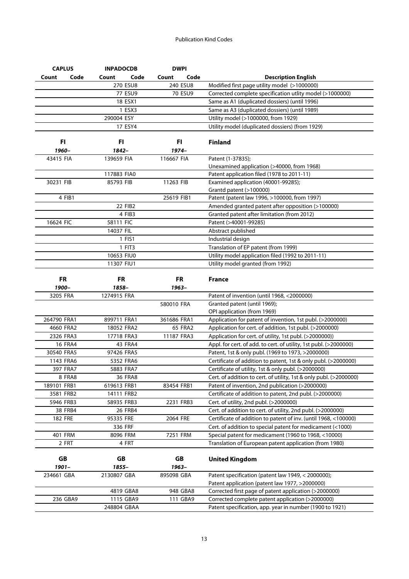| <b>CAPLUS</b>  | <b>INPADOCDB</b> | <b>DWPI</b>    |                                                                    |
|----------------|------------------|----------------|--------------------------------------------------------------------|
| Count<br>Code  | Count<br>Code    | Code<br>Count  | <b>Description English</b>                                         |
|                | 270 ESU8         | 240 ESU8       | Modified first page utility model (>1000000)                       |
|                | 77 ESU9          | 70 ESU9        | Corrected complete specification utlity model (>1000000)           |
|                | 18 ESX1          |                | Same as A1 (duplicated dossiers) (until 1996)                      |
|                | 1 ESX3           |                | Same as A3 (duplicated dossiers) (until 1989)                      |
|                | 290004 ESY       |                | Utility model (>1000000, from 1929)                                |
|                | 17 ESY4          |                | Utility model (duplicated dossiers) (from 1929)                    |
|                |                  |                |                                                                    |
| FI.            | FI               | FI             | <b>Finland</b>                                                     |
| 1960-          | 1842-            | $1974-$        |                                                                    |
| 43415 FIA      | 139659 FIA       | 116667 FIA     | Patent (1-37835);                                                  |
|                |                  |                | Unexamined application (>40000, from 1968)                         |
|                | 117883 FIA0      |                | Patent application filed (1978 to 2011-11)                         |
| 30231 FIB      | 85793 FIB        | 11263 FIB      | Examined application (40001-99285);                                |
|                |                  |                | Grantd patent (>100000)                                            |
| 4 FIB1         |                  | 25619 FIB1     | Patent (patent law 1996, >100000, from 1997)                       |
|                | 22 FIB2          |                | Amended granted patent after opposition (>100000)                  |
|                | 4 FIB3           |                | Granted patent after limitation (from 2012)                        |
| 16624 FIC      | 58111 FIC        |                | Patent (>40001-99285)                                              |
|                | 14037 FIL        |                | Abstract published                                                 |
|                | 1 FIS1           |                | Industrial design                                                  |
|                | 1 FIT3           |                | Translation of EP patent (from 1999)                               |
|                | 10653 FIU0       |                | Utility model application filed (1992 to 2011-11)                  |
|                | 11307 FIU1       |                | Utility model granted (from 1992)                                  |
|                |                  |                |                                                                    |
| <b>FR</b>      | <b>FR</b>        | <b>FR</b>      | <b>France</b>                                                      |
| 1900-          | 1858-            | 1963-          |                                                                    |
| 3205 FRA       | 1274915 FRA      |                | Patent of invention (until 1968, <2000000)                         |
|                |                  | 580010 FRA     | Granted patent (until 1969);                                       |
|                |                  |                | OPI application (from 1969)                                        |
| 264790 FRA1    | 899711 FRA1      | 361686 FRA1    | Application for patent of invention, 1st publ. (>2000000)          |
| 4660 FRA2      | 18052 FRA2       | <b>65 FRA2</b> | Application for cert. of addition, 1st publ. (>2000000)            |
| 2326 FRA3      | 17718 FRA3       | 11187 FRA3     | Application for cert. of utility, 1st publ. (>2000000))            |
| <b>16 FRA4</b> | <b>43 FRA4</b>   |                | Appl. for cert. of add. to cert. of utility, 1st publ. (>2000000)  |
| 30540 FRA5     | 97426 FRA5       |                | Patent, 1st & only publ. (1969 to 1973, >2000000)                  |
| 1143 FRA6      | 5352 FRA6        |                | Certificate of addition to patent, 1st & only publ. (>2000000)     |
| 397 FRA7       | 5883 FRA7        |                | Certificate of utility, 1st & only publ. (>2000000)                |
| 8 FRA8         | <b>36 FRA8</b>   |                | Cert. of addition to cert. of utility, 1st & only publ. (>2000000) |
| 189101 FRB1    | 619613 FRB1      | 83454 FRB1     | Patent of invention, 2nd publication (>2000000)                    |
| 3581 FRB2      | 14111 FRB2       |                | Certificate of addition to patent, 2nd publ. (>2000000)            |
| 5946 FRB3      | 58935 FRB3       | 2231 FRB3      | Cert. of utility, 2nd publ. (>2000000)                             |
|                |                  |                |                                                                    |
| 38 FRB4        | 26 FRB4          |                | Cert. of addition to cert. of utility, 2nd publ. (>2000000)        |
| <b>182 FRE</b> | 95335 FRE        | 2064 FRE       | Certificate of addition to patent of inv. (until 1968, <100000)    |
|                | 336 FRF          |                | Cert. of addition to special patent for medicament (<1000)         |
| 401 FRM        | 8096 FRM         | 7251 FRM       | Special patent for medicament (1960 to 1968, <10000)               |
| 2 FRT          | 4 FRT            |                | Translation of European patent application (from 1980)             |
|                |                  |                |                                                                    |
| GB             | GB               | GB             | <b>United Kingdom</b>                                              |
| $1901 -$       | 1855-            | 1963-          |                                                                    |
| 234661 GBA     | 2130807 GBA      | 895098 GBA     | Patent specification (patent law 1949, < 2000000);                 |
|                |                  |                | Patent application (patent law 1977, >2000000)                     |
|                | 4819 GBA8        | 948 GBA8       | Corrected first page of patent application (>2000000)              |
| 236 GBA9       | 1115 GBA9        | 111 GBA9       | Corrected complete patent application (>2000000)                   |
|                | 248804 GBAA      |                | Patent specification, app. year in number (1900 to 1921)           |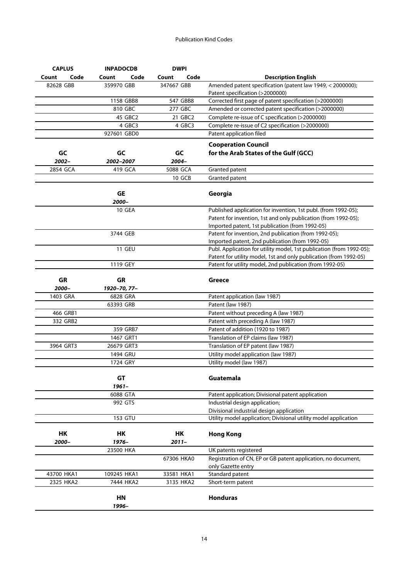| <b>CAPLUS</b> | <b>INPADOCDB</b> | <b>DWPI</b>   |                                                                      |
|---------------|------------------|---------------|----------------------------------------------------------------------|
| Code<br>Count | Count<br>Code    | Code<br>Count | <b>Description English</b>                                           |
| 82628 GBB     | 359970 GBB       | 347667 GBB    | Amended patent specification (patent law 1949, < 2000000);           |
|               |                  |               | Patent specification (>2000000)                                      |
|               | 1158 GBB8        | 547 GBB8      | Corrected first page of patent specification (>2000000)              |
|               | 810 GBC          | 277 GBC       | Amended or corrected patent specification (>2000000)                 |
|               | 45 GBC2          | 21 GBC2       | Complete re-issue of C specification (>2000000)                      |
|               | 4 GBC3           | 4 GBC3        | Complete re-issue of C2 specification (>2000000)                     |
|               | 927601 GBD0      |               | Patent application filed                                             |
|               |                  |               | <b>Cooperation Council</b>                                           |
| GC            | GC               | GC            | for the Arab States of the Gulf (GCC)                                |
| 2002-         | 2002-2007        | 2004-         |                                                                      |
| 2854 GCA      | 419 GCA          | 5088 GCA      | Granted patent                                                       |
|               |                  | 10 GCB        | Granted patent                                                       |
|               |                  |               |                                                                      |
|               | <b>GE</b>        |               | Georgia                                                              |
|               | 2000-            |               |                                                                      |
|               | 10 GEA           |               | Published application for invention, 1st publ. (from 1992-05);       |
|               |                  |               | Patent for invention, 1st and only publication (from 1992-05);       |
|               |                  |               | Imported patent, 1st publication (from 1992-05)                      |
|               | 3744 GEB         |               | Patent for invention, 2nd publication (from 1992-05);                |
|               |                  |               | Imported patent, 2nd publication (from 1992-05)                      |
|               | <b>11 GEU</b>    |               | Publ. Application for utility model, 1st publication (from 1992-05); |
|               |                  |               | Patent for utility model, 1st and only publication (from 1992-05)    |
|               | 1119 GEY         |               | Patent for utility model, 2nd publication (from 1992-05)             |
|               |                  |               |                                                                      |
| GR            | GR               |               | <b>Greece</b>                                                        |
| 2000-         | 1920-70, 77-     |               |                                                                      |
| 1403 GRA      | 6828 GRA         |               | Patent application (law 1987)                                        |
|               | 63393 GRB        |               | Patent (law 1987)                                                    |
| 466 GRB1      |                  |               | Patent without preceding A (law 1987)                                |
| 332 GRB2      |                  |               | Patent with preceding A (law 1987)                                   |
|               | 359 GRB7         |               | Patent of addition (1920 to 1987)                                    |
|               | 1467 GRT1        |               | Translation of EP claims (law 1987)                                  |
| 3964 GRT3     | 26679 GRT3       |               | Translation of EP patent (law 1987)                                  |
|               | 1494 GRU         |               | Utility model application (law 1987)                                 |
|               | 1724 GRY         |               | Utility model (law 1987)                                             |
|               |                  |               |                                                                      |
|               | GT               |               | Guatemala                                                            |
|               | $1961 -$         |               |                                                                      |
|               | 6088 GTA         |               | Patent application; Divisional patent application                    |
|               | 992 GTS          |               | Industrial design application;                                       |
|               |                  |               | Divisional industrial design application                             |
|               | 153 GTU          |               | Utility model application; Divisional utility model application      |
|               |                  |               |                                                                      |
| HK            | HK               | HK            | <b>Hong Kong</b>                                                     |
| 2000-         | 1976-            | $2011 -$      |                                                                      |
|               | 23500 HKA        |               | UK patents registered                                                |
|               |                  | 67306 HKA0    | Registration of CN, EP or GB patent application, no document,        |
|               |                  |               | only Gazette entry                                                   |
| 43700 HKA1    | 109245 HKA1      | 33581 HKA1    | Standard patent                                                      |
| 2325 HKA2     | 7444 HKA2        | 3135 HKA2     | Short-term patent                                                    |
|               | HN               |               | <b>Honduras</b>                                                      |
|               |                  |               |                                                                      |
|               | 1996-            |               |                                                                      |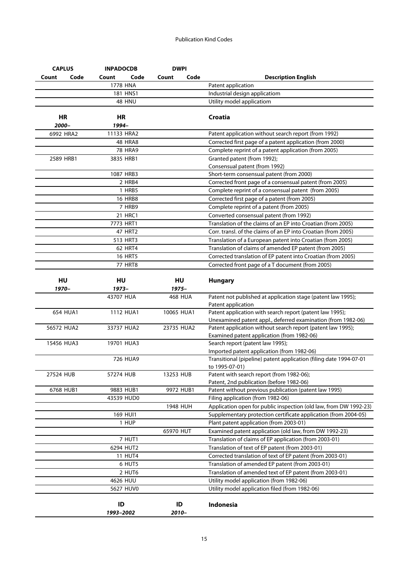| <b>CAPLUS</b> | <b>INPADOCDB</b> |               | <b>DWPI</b>    |                                                                                      |
|---------------|------------------|---------------|----------------|--------------------------------------------------------------------------------------|
| Code<br>Count | Count            | Code<br>Count | Code           | <b>Description English</b>                                                           |
|               | 1778 HNA         |               |                | Patent application                                                                   |
|               | 181 HNS1         |               |                | Industrial design applicatiom                                                        |
|               | 48 HNU           |               |                | Utility model applicatiom                                                            |
| HR<br>2000-   | HR<br>1994-      |               |                | Croatia                                                                              |
| 6992 HRA2     | 11133 HRA2       |               |                | Patent application without search report (from 1992)                                 |
|               | <b>48 HRA8</b>   |               |                | Corrected first page of a patent application (from 2000)                             |
|               | <b>78 HRA9</b>   |               |                | Complete reprint of a patent application (from 2005)                                 |
| 2589 HRB1     | 3835 HRB1        |               |                | Granted patent (from 1992);                                                          |
|               |                  |               |                | Consensual patent (from 1992)                                                        |
|               | 1087 HRB3        |               |                | Short-term consensual patent (from 2000)                                             |
|               | 2 HRB4           |               |                | Corrected front page of a consensual patent (from 2005)                              |
|               | 1 HRB5           |               |                | Complete reprint of a consensual patent (from 2005)                                  |
|               | <b>16 HRB8</b>   |               |                | Corrected first page of a patent (from 2005)                                         |
|               | 7 HRB9           |               |                | Complete reprint of a patent (from 2005)                                             |
|               | 21 HRC1          |               |                | Converted consensual patent (from 1992)                                              |
|               | 7773 HRT1        |               |                | Translation of the claims of an EP into Croatian (from 2005)                         |
|               | 47 HRT2          |               |                | Corr. transl. of the claims of an EP into Croatian (from 2005)                       |
|               | 513 HRT3         |               |                | Translation of a European patent into Croatian (from 2005)                           |
|               | <b>62 HRT4</b>   |               |                | Translation of claims of amended EP patent (from 2005)                               |
|               | <b>16 HRT5</b>   |               |                | Corrected translation of EP patent into Croatian (from 2005)                         |
|               | <b>77 HRT8</b>   |               |                | Corrected front page of a T document (from 2005)                                     |
| HU            | <b>HU</b>        |               | HU             | <b>Hungary</b>                                                                       |
| 1970–         | 1973-            |               | 1975-          |                                                                                      |
|               | 43707 HUA        |               | <b>468 HUA</b> | Patent not published at application stage (patent law 1995);                         |
|               |                  |               |                | Patent application                                                                   |
| 654 HUA1      | 1112 HUA1        |               | 10065 HUA1     | Patent application with search report (patent law 1995);                             |
|               |                  |               |                | Unexamined patent appl., deferred examination (from 1982-06)                         |
| 56572 HUA2    | 33737 HUA2       |               | 23735 HUA2     | Patent application without search report (patent law 1995);                          |
|               |                  |               |                | Examined patent application (from 1982-06)                                           |
| 15456 HUA3    | 19701 HUA3       |               |                | Search report (patent law 1995);                                                     |
|               |                  |               |                | Imported patent application (from 1982-06)                                           |
|               | 726 HUA9         |               |                | Transitional (pipeline) patent application (filing date 1994-07-01<br>to 1995-07-01) |
| 27524 HUB     | 57274 HUB        | 13253 HUB     |                | Patent with search report (from 1982-06);                                            |
|               |                  |               |                | Patent, 2nd publication (before 1982-06)                                             |
| 6768 HUB1     | 9883 HUB1        |               | 9972 HUB1      | Patent without previous publication (patent law 1995)                                |
|               | 43539 HUD0       |               |                | Filing application (from 1982-06)                                                    |
|               |                  |               | 1948 HUH       | Application open for public inspection (old law, from DW 1992-23)                    |
|               | 169 HUI1         |               |                | Supplementary protection certificate application (from 2004-05)                      |
|               | 1 HUP            |               |                | Plant patent application (from 2003-01)                                              |
|               |                  | 65970 HUT     |                | Examined patent application (old law, from DW 1992-23)                               |
|               | 7 HUT1           |               |                | Translation of claims of EP application (from 2003-01)                               |
|               | 6294 HUT2        |               |                | Translation of text of EP patent (from 2003-01)                                      |
|               | <b>11 HUT4</b>   |               |                | Corrected translation of text of EP patent (from 2003-01)                            |
|               | 6 HUT5           |               |                | Translation of amended EP patent (from 2003-01)                                      |
|               | 2 HUT6           |               |                | Translation of amended text of EP patent (from 2003-01)                              |
|               | 4626 HUU         |               |                | Utility model application (from 1982-06)                                             |
|               | 5627 HUV0        |               |                | Utility model application filed (from 1982-06)                                       |
|               |                  |               |                |                                                                                      |
|               | ID<br>1993-2002  |               | ID<br>2010-    | Indonesia                                                                            |
|               |                  |               |                |                                                                                      |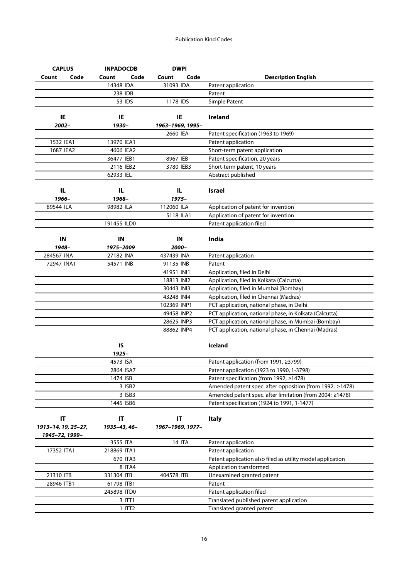| <b>CAPLUS</b>       | <b>INPADOCDB</b> | <b>DWPI</b>      |                                                            |
|---------------------|------------------|------------------|------------------------------------------------------------|
| Code<br>Count       | Code<br>Count    | Code<br>Count    | <b>Description English</b>                                 |
|                     | 14348 IDA        | 31093 IDA        | Patent application                                         |
|                     | 238 IDB          |                  | Patent                                                     |
|                     | 53 IDS           | 1178 IDS         | Simple Patent                                              |
|                     |                  |                  |                                                            |
| IE                  | IE               | IE               | <b>Ireland</b>                                             |
| 2002-               | 1930-            | 1963-1969, 1995- |                                                            |
|                     |                  | 2660 IEA         | Patent specification (1963 to 1969)                        |
| 1532 IEA1           | 13970 IEA1       |                  | Patent application                                         |
| 1687 IEA2           | 4606 IEA2        |                  | Short-term patent application                              |
|                     | 36477 IEB1       | 8967 IEB         | Patent specification, 20 years                             |
|                     | 2116 IEB2        | 3780 IEB3        | Short-term patent, 10 years                                |
|                     | 62933 IEL        |                  | Abstract published                                         |
|                     |                  |                  |                                                            |
| IL.                 | IL               | IL.              | <b>Israel</b>                                              |
| 1966-               | 1968-            | 1975-            |                                                            |
| 89544 ILA           | 98982 ILA        | 112060 ILA       | Application of patent for invention                        |
|                     |                  | 5118 ILA1        | Application of patent for invention                        |
|                     | 191455 ILD0      |                  | Patent application filed                                   |
|                     |                  |                  |                                                            |
| IN                  | IN               | IN               | India                                                      |
| 1948-               | 1975-2009        | 2000-            |                                                            |
| 284567 INA          | 27182 INA        | 437439 INA       | Patent application                                         |
| 72947 INA1          | 54571 INB        | 91135 INB        | Patent                                                     |
|                     |                  | 41951 INI1       | Application, filed in Delhi                                |
|                     |                  | 18813 INI2       | Application, filed in Kolkata (Calcutta)                   |
|                     |                  | 30443 INI3       | Application, filed in Mumbai (Bombay)                      |
|                     |                  | 43248 INI4       | Application, filed in Chennai (Madras)                     |
|                     |                  | 102369 INP1      | PCT application, national phase, in Delhi                  |
|                     |                  | 49458 INP2       | PCT application, national phase, in Kolkata (Calcutta)     |
|                     |                  | 28625 INP3       | PCT application, national phase, in Mumbai (Bombay)        |
|                     |                  | 88862 INP4       | PCT application, national phase, in Chennai (Madras)       |
|                     |                  |                  |                                                            |
|                     | IS               |                  | Iceland                                                    |
|                     | $1925 -$         |                  |                                                            |
|                     | 4573 ISA         |                  | Patent application (from 1991, ≥3799)                      |
|                     | 2864 ISA7        |                  | Patent application (1923 to 1990, 1-3798)                  |
|                     | 1474 ISB         |                  | Patent specification (from 1992, ≥1478)                    |
|                     | 3 ISB2           |                  | Amended patent spec. after opposition (from 1992, ≥1478)   |
|                     | 3 ISB3           |                  | Amended patent spec. after limitation (from 2004; ≥1478)   |
|                     | 1445 ISB6        |                  | Patent specification (1924 to 1991, 1-1477)                |
|                     |                  |                  |                                                            |
| IT                  | IT               | IT               | <b>Italy</b>                                               |
| 1913-14, 19, 25-27, | 1935-43, 46-     | 1967-1969, 1977- |                                                            |
| 1945-72, 1999-      |                  |                  |                                                            |
|                     | 3555 ITA         | <b>14 ITA</b>    | Patent application                                         |
| 17352 ITA1          | 218869 ITA1      |                  | Patent application                                         |
|                     | 670 ITA3         |                  | Patent application also filed as utility model application |
|                     | 8 ITA4           |                  | Application transformed                                    |
| 21310 ITB           | 331304 ITB       | 404578 ITB       | Unexamined granted patent                                  |
| 28946 ITB1          | 61798 ITB1       |                  | Patent                                                     |
|                     | 245898 ITD0      |                  | Patent application filed                                   |
|                     | 3 ITT1           |                  | Translated published patent application                    |
|                     | $1$ ITT $2$      |                  | Translated granted patent                                  |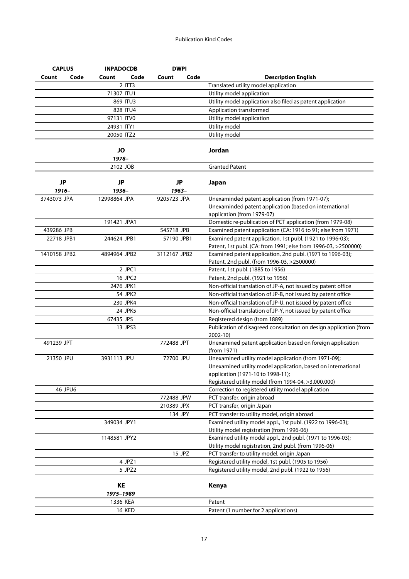| <b>CAPLUS</b> |           | <b>INPADOCDB</b>      | <b>DWPI</b>   |                                                               |                                                                   |
|---------------|-----------|-----------------------|---------------|---------------------------------------------------------------|-------------------------------------------------------------------|
| Count         | Code      | Code<br>Count         | Code<br>Count |                                                               | <b>Description English</b>                                        |
|               |           | $2$ ITT3              |               |                                                               | Translated utility model application                              |
|               |           | 71307 ITU1            |               |                                                               | Utility model application                                         |
|               |           | 869 ITU3              |               |                                                               | Utility model application also filed as patent application        |
|               |           | 828 ITU4              |               |                                                               | Application transformed                                           |
|               |           | 97131 ITV0            |               |                                                               | Utility model application                                         |
|               |           | 24931 ITY1            |               | Utility model                                                 |                                                                   |
|               |           | 20050 ITZ2            |               | Utility model                                                 |                                                                   |
|               |           | <b>JO</b><br>1978-    |               | Jordan                                                        |                                                                   |
|               |           | 2102 JOB              |               | <b>Granted Patent</b>                                         |                                                                   |
|               |           |                       |               |                                                               |                                                                   |
| <b>JP</b>     |           | JP                    | JP            | Japan                                                         |                                                                   |
| 1916-         |           | 1936-                 | 1963-         |                                                               |                                                                   |
| 3743073 JPA   |           | 12998864 JPA          | 9205723 JPA   |                                                               | Unexaminded patent application (from 1971-07);                    |
|               |           |                       |               |                                                               | Unexaminded patent application (based on international            |
|               |           |                       |               | application (from 1979-07)                                    |                                                                   |
|               |           | 191421 JPA1           |               |                                                               | Domestic re-publication of PCT application (from 1979-08)         |
| 439286 JPB    |           |                       | 545718 JPB    |                                                               | Examined patent application (CA: 1916 to 91; else from 1971)      |
| 22718 JPB1    |           | 244624 JPB1           | 57190 JPB1    |                                                               | Examined patent application, 1st publ. (1921 to 1996-03);         |
|               |           |                       |               |                                                               | Patent, 1st publ. (CA: from 1991; else from 1996-03, >2500000)    |
| 1410158 JPB2  |           | 4894964 JPB2          | 3112167 JPB2  |                                                               | Examined patent application, 2nd publ. (1971 to 1996-03);         |
|               |           |                       |               |                                                               | Patent, 2nd publ. (from 1996-03, >2500000)                        |
|               |           | 2 JPC1                |               |                                                               | Patent, 1st publ. (1885 to 1956)                                  |
|               | 16 JPC2   |                       |               | Patent, 2nd publ. (1921 to 1956)                              |                                                                   |
|               | 2476 JPK1 |                       |               | Non-official translation of JP-A, not issued by patent office |                                                                   |
|               |           |                       |               |                                                               |                                                                   |
|               |           | 54 JPK2               |               |                                                               | Non-official translation of JP-B, not issued by patent office     |
|               |           | 230 JPK4              |               |                                                               | Non-official translation of JP-U, not issued by patent office     |
|               |           | 24 JPK5               |               |                                                               | Non-official translation of JP-Y, not issued by patent office     |
|               |           | 67435 JPS             |               |                                                               | Registered design (from 1889)                                     |
|               |           | 13 JPS3               |               | 2002-10)                                                      | Publication of disagreed consultation on design application (from |
| 491239 JPT    |           |                       | 772488 JPT    | (from 1971)                                                   | Unexamined patent application based on foreign application        |
| 21350 JPU     |           | 3931113 JPU           | 72700 JPU     |                                                               | Unexamined utility model application (from 1971-09);              |
|               |           |                       |               |                                                               | Unexamined utility model application, based on international      |
|               |           |                       |               |                                                               | application (1971-10 to 1998-11):                                 |
|               |           |                       |               |                                                               | Registered utility model (from 1994-04, >3.000.000)               |
|               | 46 JPU6   |                       |               |                                                               | Correction to registered utility model application                |
|               |           |                       | 772488 JPW    |                                                               | PCT transfer, origin abroad                                       |
|               |           |                       | 210389 JPX    |                                                               | PCT transfer, origin Japan                                        |
|               |           |                       | 134 JPY       |                                                               | PCT transfer to utility model, origin abroad                      |
|               |           | 349034 JPY1           |               |                                                               | Examined utility model appl., 1st publ. (1922 to 1996-03);        |
|               |           |                       |               |                                                               | Utility model registration (from 1996-06)                         |
|               |           | 1148581 JPY2          |               |                                                               | Examined utility model appl., 2nd publ. (1971 to 1996-03);        |
|               |           |                       |               |                                                               | Utility model registration, 2nd publ. (from 1996-06)              |
|               |           |                       | 15 JPZ        |                                                               | PCT transfer to utility model, origin Japan                       |
|               |           | 4 JPZ1                |               |                                                               | Registered utility model, 1st publ. (1905 to 1956)                |
|               |           | 5 JPZ2                |               |                                                               | Registered utility model, 2nd publ. (1922 to 1956)                |
|               |           |                       |               |                                                               |                                                                   |
|               |           | KE                    |               | Kenya                                                         |                                                                   |
|               |           | 1975-1989<br>1336 KEA |               | Patent                                                        |                                                                   |
|               |           | <b>16 KED</b>         |               |                                                               | Patent (1 number for 2 applications)                              |
|               |           |                       |               |                                                               |                                                                   |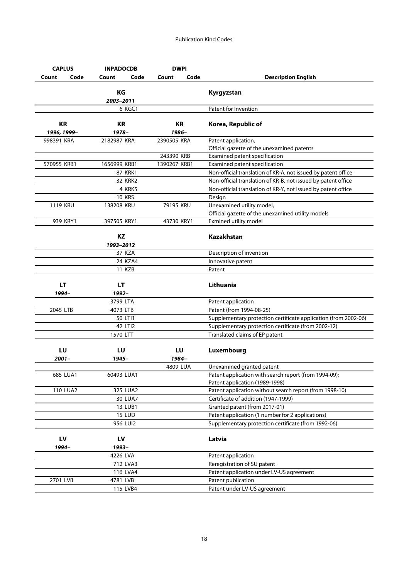| <b>CAPLUS</b>            |                 | <b>INPADOCDB</b>   |              | <b>DWPI</b> |                                                                 |
|--------------------------|-----------------|--------------------|--------------|-------------|-----------------------------------------------------------------|
| Count                    | Code            | Count<br>Code      | Count        | Code        | <b>Description English</b>                                      |
|                          |                 | KG                 |              |             | Kyrgyzstan                                                      |
|                          |                 | 2003-2011          |              |             |                                                                 |
|                          |                 | 6 KGC1             |              |             | Patent for Invention                                            |
| <b>KR</b><br>1996, 1999- |                 | <b>KR</b><br>1978- | 1986-        | KR          | Korea, Republic of                                              |
| 998391 KRA               |                 | 2182987 KRA        | 2390505 KRA  |             | Patent application,                                             |
|                          |                 |                    |              |             | Official gazette of the unexamined patents                      |
|                          |                 |                    | 243390 KRB   |             | Examined patent specification                                   |
| 570955 KRB1              |                 | 1656999 KRB1       | 1390267 KRB1 |             | Examined patent specification                                   |
|                          |                 | <b>87 KRK1</b>     |              |             | Non-official translation of KR-A, not issued by patent office   |
|                          |                 | <b>32 KRK2</b>     |              |             | Non-official translation of KR-B, not issued by patent office   |
|                          |                 | 4 KRK5             |              |             | Non-official translation of KR-Y, not issued by patent office   |
|                          |                 | <b>10 KRS</b>      |              |             | Design                                                          |
| <b>1119 KRU</b>          |                 | 138208 KRU         | 79195 KRU    |             | Unexamined utility model,                                       |
|                          |                 |                    |              |             | Official gazette of the unexamined utility models               |
|                          | 939 KRY1        | 397505 KRY1        | 43730 KRY1   |             | Exmined utility model                                           |
|                          |                 | <b>KZ</b>          |              |             | <b>Kazakhstan</b>                                               |
|                          |                 | 1993-2012          |              |             |                                                                 |
|                          |                 | 37 KZA             |              |             | Description of invention                                        |
|                          |                 | 24 KZA4            |              |             | Innovative patent                                               |
|                          |                 | 11 KZB             |              |             | Patent                                                          |
|                          |                 |                    |              |             |                                                                 |
| LT                       |                 | LT                 |              |             | Lithuania                                                       |
| 1994–                    |                 | 1992-              |              |             |                                                                 |
|                          |                 | 3799 LTA           |              |             | Patent application                                              |
| 2045 LTB                 |                 | 4073 LTB           |              |             | Patent (from 1994-08-25)                                        |
|                          |                 | 50 LTI1            |              |             | Supplementary protection certificate application (from 2002-06) |
|                          |                 | 42 LTI2            |              |             | Supplementary protection certificate (from 2002-12)             |
|                          |                 | 1570 LTT           |              |             | Translated claims of EP patent                                  |
| LU                       |                 | LU                 |              | LU          | Luxembourg                                                      |
| $2001 -$                 |                 | 1945-              | 1984-        |             |                                                                 |
|                          |                 |                    | 4809 LUA     |             | Unexamined granted patent                                       |
|                          | 685 LUA1        | 60493 LUA1         |              |             | Patent application with search report (from 1994-09);           |
|                          |                 |                    |              |             | Patent application (1989-1998)                                  |
|                          | <b>110 LUA2</b> | 325 LUA2           |              |             | Patent application without search report (from 1998-10)         |
|                          |                 | <b>30 LUA7</b>     |              |             | Certificate of addition (1947-1999)                             |
|                          |                 | <b>13 LUB1</b>     |              |             | Granted patent (from 2017-01)                                   |
|                          |                 | <b>15 LUD</b>      |              |             | Patent application (1 number for 2 applications)                |
|                          |                 | 956 LUI2           |              |             | Supplementary protection certificate (from 1992-06)             |
|                          |                 |                    |              |             |                                                                 |
| LV                       |                 | LV                 |              |             | Latvia                                                          |
| 1994-                    |                 | 1993-              |              |             |                                                                 |
|                          |                 | 4226 LVA           |              |             | Patent application                                              |
|                          |                 | 712 LVA3           |              |             | Reregistration of SU patent                                     |
|                          |                 | 116 LVA4           |              |             | Patent application under LV-US agreement                        |
| 2701 LVB                 |                 | 4781 LVB           |              |             | Patent publication                                              |
|                          |                 | 115 LVB4           |              |             | Patent under LV-US agreement                                    |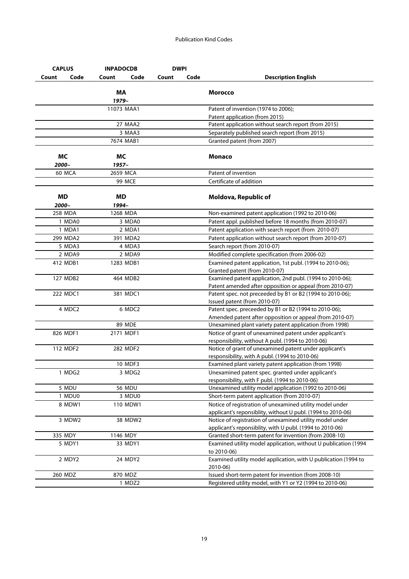|                    |      |                    |       | <b>DWPI</b> |                                                                                                                         |
|--------------------|------|--------------------|-------|-------------|-------------------------------------------------------------------------------------------------------------------------|
| Count              | Code | Code<br>Count      | Count | Code        | <b>Description English</b>                                                                                              |
|                    |      | <b>MA</b><br>1979- |       |             | <b>Morocco</b>                                                                                                          |
|                    |      | 11073 MAA1         |       |             | Patent of invention (1974 to 2006);                                                                                     |
|                    |      |                    |       |             | Patent application (from 2015)                                                                                          |
|                    |      | 27 MAA2            |       |             | Patent application without search report (from 2015)                                                                    |
|                    |      | 3 MAA3             |       |             | Separately published search report (from 2015)                                                                          |
|                    |      | 7674 MAB1          |       |             | Granted patent (from 2007)                                                                                              |
| <b>MC</b>          |      | МC                 |       |             | Monaco                                                                                                                  |
| 2000–              |      | 1957–              |       |             |                                                                                                                         |
| 60 MCA             |      | 2659 MCA           |       |             | Patent of invention                                                                                                     |
|                    |      | 99 MCE             |       |             | Certificate of addition                                                                                                 |
| <b>MD</b><br>2000- |      | MD<br>1994–        |       |             | Moldova, Republic of                                                                                                    |
| 258 MDA            |      | 1268 MDA           |       |             | Non-examined patent application (1992 to 2010-06)                                                                       |
| 1 MDA0             |      | 3 MDA0             |       |             | Patent appl. published before 18 months (from 2010-07)                                                                  |
| 1 MDA1             |      | 2 MDA1             |       |             | Patent application with search report (from 2010-07)                                                                    |
| 299 MDA2           |      | 391 MDA2           |       |             | Patent application without search report (from 2010-07)                                                                 |
| 5 MDA3             |      | 4 MDA3             |       |             | Search report (from 2010-07)                                                                                            |
| 2 MDA9             |      | 2 MDA9             |       |             | Modified complete specification (from 2006-02)                                                                          |
| 412 MDB1           |      | 1283 MDB1          |       |             | Examined patent application, 1st publ. (1994 to 2010-06);<br>Granted patent (from 2010-07)                              |
| 127 MDB2           |      | 464 MDB2           |       |             | Examined patent application, 2nd publ. (1994 to 2010-06);<br>Patent amended after opposition or appeal (from 2010-07)   |
| 222 MDC1           |      | 381 MDC1           |       |             | Patent spec. not preceeded by B1 or B2 (1994 to 2010-06);<br>Issued patent (from 2010-07)                               |
| 4 MDC2             |      | 6 MDC <sub>2</sub> |       |             | Patent spec. preceeded by B1 or B2 (1994 to 2010-06);<br>Amended patent after opposition or appeal (from 2010-07)       |
|                    |      | <b>89 MDE</b>      |       |             | Unexamined plant variety patent application (from 1998)                                                                 |
| 826 MDF1           |      | 2171 MDF1          |       |             | Notice of grant of unexamined patent under applicant's<br>responsibility, without A publ. (1994 to 2010-06)             |
| 112 MDF2           |      | 282 MDF2           |       |             | Notice of grant of unexamined patent under applicant's<br>responsibility, with A publ. (1994 to 2010-06)                |
|                    |      | 10 MDF3            |       |             | Examined plant variety patent application (from 1998)                                                                   |
| 1 MDG2             |      | 3 MDG2             |       |             | Unexamined patent spec. granted under applicant's<br>responsibility, with F publ. (1994 to 2010-06)                     |
| 5 MDU              |      | <b>56 MDU</b>      |       |             | Unexamined utility model application (1992 to 2010-06)                                                                  |
| 1 MDU0             |      | 3 MDU0             |       |             | Short-term patent application (from 2010-07)                                                                            |
| 8 MDW1             |      | 110 MDW1           |       |             | Notice of registration of unexamined utility model under<br>applicant's reponsiblity, without U publ. (1994 to 2010-06) |
| 3 MDW2             |      | 38 MDW2            |       |             | Notice of registration of unexamined utility model under<br>applicant's reponsiblity, with U publ. (1994 to 2010-06)    |
| 335 MDY            |      | 1146 MDY           |       |             | Granted short-term patent for invention (from 2008-10)                                                                  |
| 5 MDY1             |      | 33 MDY1            |       |             | Examined utility model application, without U publication (1994<br>to 2010-06)                                          |
| 2 MDY2             |      | 24 MDY2            |       |             | Examined utility model application, with U publication (1994 to<br>2010-06)                                             |
| 260 MDZ            |      | 870 MDZ            |       |             | Issued short-term patent for invention (from 2008-10)                                                                   |
|                    |      | 1 MDZ2             |       |             | Registered utility model, with Y1 or Y2 (1994 to 2010-06)                                                               |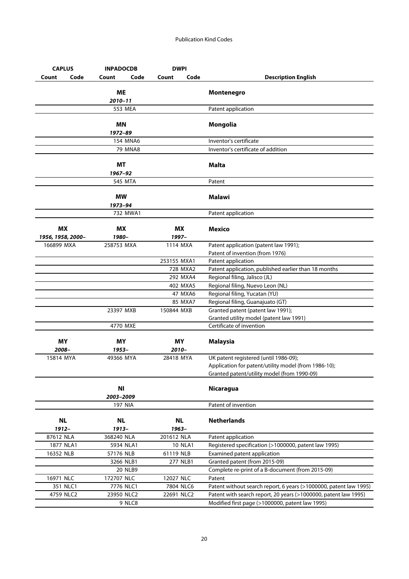| <b>CAPLUS</b>                  | <b>INPADOCDB</b>     |         | <b>DWPI</b>        |                |                                                                       |
|--------------------------------|----------------------|---------|--------------------|----------------|-----------------------------------------------------------------------|
| Code<br>Count                  | Count                | Code    | Count              | Code           | <b>Description English</b>                                            |
|                                | МE<br>2010-11        |         |                    |                | Montenegro                                                            |
|                                | 553 MEA              |         |                    |                | Patent application                                                    |
|                                |                      |         |                    |                |                                                                       |
|                                | ΜN<br>1972-89        |         |                    |                | Mongolia                                                              |
|                                | <b>154 MNA6</b>      |         |                    |                | Inventor's certificate                                                |
|                                |                      | 79 MNA8 |                    |                | Inventor's certificate of addition                                    |
|                                | МT<br>1967–92        |         |                    |                | <b>Malta</b>                                                          |
|                                | 545 MTA              |         |                    |                | Patent                                                                |
|                                | <b>MW</b><br>1973–94 |         |                    |                | <b>Malawi</b>                                                         |
|                                | 732 MWA1             |         |                    |                | Patent application                                                    |
| <b>MX</b><br>1956, 1958, 2000- | МX<br>1980-          |         | ΜX<br>1997-        |                | <b>Mexico</b>                                                         |
| 166899 MXA                     | 258753 MXA           |         | 1114 MXA           |                | Patent application (patent law 1991);                                 |
|                                |                      |         |                    |                | Patent of invention (from 1976)                                       |
|                                |                      |         | 253155 MXA1        |                | Patent application                                                    |
|                                |                      |         |                    | 728 MXA2       | Patent application, published earlier than 18 months                  |
|                                |                      |         |                    | 292 MXA4       | Regional filing, Jalisco (JL)                                         |
|                                |                      |         |                    | 402 MXA5       | Regional filing, Nuevo Leon (NL)                                      |
|                                |                      |         |                    | 47 MXA6        | Regional filing, Yucatan (YU)                                         |
|                                | 23397 MXB            |         | 150844 MXB         | 85 MXA7        | Regional filing, Guanajuato (GT)<br>Granted patent (patent law 1991); |
|                                |                      |         |                    |                | Granted utility model (patent law 1991)                               |
|                                | 4770 MXE             |         |                    |                | Certificate of invention                                              |
| MY<br>2008-                    | ΜY<br>1953-          |         | ΜY<br>$2010 -$     |                | <b>Malaysia</b>                                                       |
| 15814 MYA                      | 49366 MYA            |         | 28418 MYA          |                | UK patent registered (until 1986-09);                                 |
|                                |                      |         |                    |                | Application for patent/utility model (from 1986-10);                  |
|                                |                      |         |                    |                | Granted patent/utility model (from 1990-09)                           |
|                                | ΝI<br>2003-2009      |         |                    |                | <b>Nicaragua</b>                                                      |
|                                | <b>197 NIA</b>       |         |                    |                | Patent of invention                                                   |
| <b>NL</b><br>1912-             | <b>NL</b><br>1913-   |         | <b>NL</b><br>1963- |                | <b>Netherlands</b>                                                    |
| 87612 NLA                      | 368240 NLA           |         | 201612 NLA         |                | Patent application                                                    |
| 1877 NLA1                      | 5934 NLA1            |         |                    | <b>10 NLA1</b> | Registered specification (>1000000, patent law 1995)                  |
| 16352 NLB                      | 57176 NLB            |         | 61119 NLB          |                | Examined patent application                                           |
|                                | 3266 NLB1            |         |                    | 277 NLB1       | Granted patent (from 2015-09)                                         |
|                                | <b>20 NLB9</b>       |         |                    |                | Complete re-print of a B-document (from 2015-09)                      |
| 16971 NLC                      | 172707 NLC           |         | 12027 NLC          |                | Patent                                                                |
| 351 NLC1                       | 7776 NLC1            |         | 7804 NLC6          |                | Patent without search report, 6 years (>1000000, patent law 1995)     |
| 4759 NLC2                      | 23950 NLC2           |         | 22691 NLC2         |                | Patent with search report, 20 years (>1000000, patent law 1995)       |
|                                |                      | 9 NLC8  |                    |                | Modified first page (>1000000, patent law 1995)                       |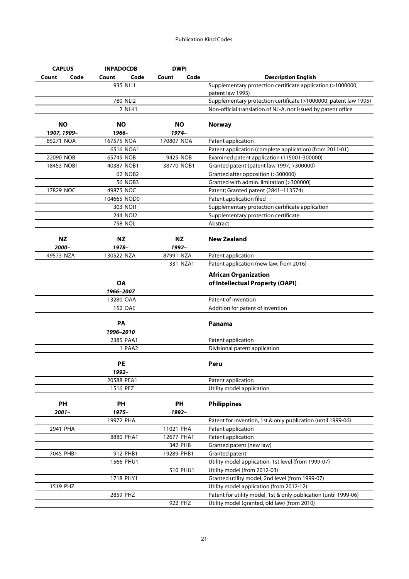| <b>CAPLUS</b>            | <b>INPADOCDB</b>   | <b>DWPI</b>   |                                                                                 |
|--------------------------|--------------------|---------------|---------------------------------------------------------------------------------|
| Count<br>Code            | Count<br>Code      | Code<br>Count | <b>Description English</b>                                                      |
|                          | 935 NLI1           |               | Supplementary protection certificate application (>1000000,<br>patent law 1995) |
|                          | 780 NLI2           |               | Supplementary protection certificate (>1000000, patent law 1995)                |
|                          | 2 NLK1             |               | Non-official translation of NL-A, not issued by patent office                   |
| <b>NO</b><br>1907, 1909- | ΝO<br>1966-        | ΝO<br>1974-   | <b>Norway</b>                                                                   |
| 85271 NOA                | 167575 NOA         | 170807 NOA    | Patent application                                                              |
|                          | 6516 NOA1          |               | Patent application (complete application) (from 2011-01)                        |
| 22090 NOB                | 65745 NOB          | 9425 NOB      | Examined patent application (115001-300000)                                     |
| 18453 NOB1               | 40387 NOB1         | 38770 NOB1    | Granted patent (patent law 1997, >300000)                                       |
|                          | 62 NOB2            |               | Granted after opposition (>300000)                                              |
|                          | 56 NOB3            |               | Granted with admin. limitation (>300000)                                        |
| 17829 NOC                | 49875 NOC          |               | Patent; Granted patent (2841-113574)                                            |
|                          | 104665 NOD0        |               | Patent application filed                                                        |
|                          | 303 NOI1           |               | Supplementary protection certificate application                                |
|                          | 244 NOI2           |               | Supplementary protection certificate                                            |
|                          | 758 NOL            |               | Abstract                                                                        |
|                          |                    |               |                                                                                 |
| <b>NZ</b>                | ΝZ                 | ΝZ            | <b>New Zealand</b>                                                              |
| 2000–                    | 1978-              | 1992–         |                                                                                 |
| 49573 NZA                | 130522 NZA         | 87991 NZA     | Patent application                                                              |
|                          |                    | 331 NZA1      | Patent application (new law, from 2016)                                         |
|                          |                    |               | <b>African Organization</b>                                                     |
|                          | <b>OA</b>          |               | of Intellectual Property (OAPI)                                                 |
|                          | 1966-2007          |               |                                                                                 |
|                          | 13280 OAA          |               | Patent of invention                                                             |
|                          | 152 OAE            |               | Addition for patent of invention                                                |
|                          | PA                 |               | Panama                                                                          |
|                          | 1996-2010          |               |                                                                                 |
|                          | 2385 PAA1          |               | Patent application                                                              |
|                          | 1 PAA2             |               | Divisional patent application                                                   |
|                          | <b>PE</b><br>1992- |               | Peru                                                                            |
|                          | 20588 PEA1         |               | Patent application                                                              |
|                          | 1516 PEZ           |               | Utility model application                                                       |
|                          |                    |               |                                                                                 |
| PH                       | PH                 | PH            | <b>Philippines</b>                                                              |
| $2001 -$                 | 1975-              | 1992-         |                                                                                 |
|                          | 19972 PHA          |               | Patent for invention, 1st & only publication (until 1999-06)                    |
| 2941 PHA                 |                    | 11021 PHA     | Patent application                                                              |
|                          | 8880 PHA1          | 12677 PHA1    | Patent application                                                              |
|                          |                    | 342 PHB       | Granted patent (new law)                                                        |
| 7045 PHB1                | 912 PHB1           | 19289 PHB1    | Granted patent                                                                  |
|                          | 1566 PHU1          |               | Utility model application, 1st level (from 1999-07)                             |
|                          |                    | 510 PHU1      | Utility model (from 2012-03)                                                    |
|                          | 1718 PHY1          |               | Granted utility model, 2nd level (from 1999-07)                                 |
| 1519 PHZ                 |                    |               | Utility model application (from 2012-12)                                        |
|                          | 2859 PHZ           |               | Patent for utility model, 1st & only publication (until 1999-06)                |
|                          |                    | 922 PHZ       | Utility model (granted, old law) (from 2010)                                    |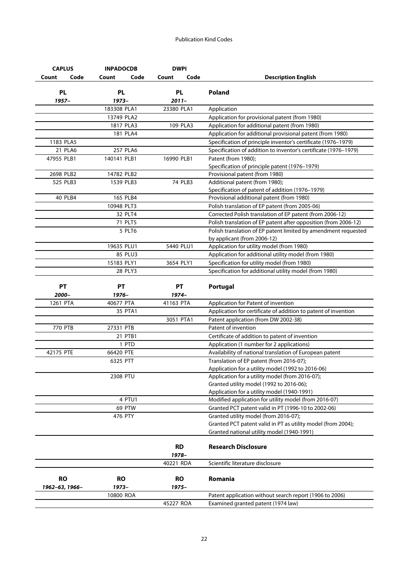| <b>CAPLUS</b>  | <b>INPADOCDB</b> | <b>DWPI</b>        |                                                                                              |
|----------------|------------------|--------------------|----------------------------------------------------------------------------------------------|
| Code<br>Count  | Code<br>Count    | Code<br>Count      | <b>Description English</b>                                                                   |
|                |                  | <b>PL</b>          |                                                                                              |
| <b>PL</b>      | <b>PL</b>        |                    | Poland                                                                                       |
| $1957 -$       | 1973-            | $2011 -$           |                                                                                              |
|                | 183308 PLA1      | 23380 PLA1         | Application                                                                                  |
|                | 13749 PLA2       |                    | Application for provisional patent (from 1980)                                               |
|                | 1817 PLA3        | 109 PLA3           | Application for additional patent (from 1980)                                                |
|                | 181 PLA4         |                    | Application for additional provisional patent (from 1980)                                    |
| 1183 PLA5      |                  |                    | Specification of principle inventor's certificate (1976-1979)                                |
| 21 PLA6        | 257 PLA6         |                    | Specification of addition to inventor's certificate (1976-1979)                              |
| 47955 PLB1     | 140141 PLB1      | 16990 PLB1         | Patent (from 1980);                                                                          |
| 2698 PLB2      | 14782 PLB2       |                    | Specification of principle patent (1976-1979)                                                |
|                |                  |                    | Provisional patent (from 1980)                                                               |
| 525 PLB3       | 1539 PLB3        | 74 PLB3            | Additional patent (from 1980);                                                               |
| <b>40 PLB4</b> | 165 PLB4         |                    | Specification of patent of addition (1976-1979)<br>Provisional additional patent (from 1980) |
|                | 10948 PLT3       |                    | Polish translation of EP patent (from 2005-06)                                               |
|                | 32 PLT4          |                    | Corrected Polish translation of EP patent (from 2006-12)                                     |
|                | 71 PLT5          |                    | Polish translation of EP patent after opposition (from 2006-12)                              |
|                | 5 PLT6           |                    | Polish translation of EP patent limited by amendment requested                               |
|                |                  |                    | by applicant (from 2006-12)                                                                  |
|                | 19635 PLU1       | 5440 PLU1          | Application for utility model (from 1980)                                                    |
|                | 85 PLU3          |                    | Application for additional utility model (from 1980)                                         |
|                | 15183 PLY1       | 3654 PLY1          | Specification for utility model (from 1980)                                                  |
|                | 28 PLY3          |                    | Specification for additional utility model (from 1980)                                       |
|                |                  |                    |                                                                                              |
| <b>PT</b>      | <b>PT</b>        | <b>PT</b>          | Portugal                                                                                     |
| 2000-          | 1976-            | 1974-              |                                                                                              |
| 1261 PTA       | 40677 PTA        | 41163 PTA          | Application for Patent of invention                                                          |
|                | 35 PTA1          |                    | Application for certificate of addition to patent of invention                               |
|                |                  | 3051 PTA1          | Patent application (from DW 2002-38)                                                         |
| 770 PTB        | 27331 PTB        |                    | Patent of invention                                                                          |
|                | 21 PTB1          |                    | Certificate of addition to patent of invention                                               |
|                | 1 PTD            |                    | Application (1 number for 2 applications)                                                    |
| 42175 PTE      | 66420 PTE        |                    | Availability of national translation of European patent                                      |
|                | 6325 PTT         |                    | Translation of EP patent (from 2016-07);                                                     |
|                |                  |                    | Application for a utility model (1992 to 2016-06)                                            |
|                | 2308 PTU         |                    | Application for a utility model (from 2016-07);                                              |
|                |                  |                    | Granted utility model (1992 to 2016-06);                                                     |
|                |                  |                    | Application for a utility model (1940-1991)                                                  |
|                | 4 PTU1           |                    | Modified application for utility model (from 2016-07)                                        |
|                | 69 PTW           |                    | Granted PCT patent valid in PT (1996-10 to 2002-06)                                          |
|                | 476 PTY          |                    | Granted utility model (from 2016-07);                                                        |
|                |                  |                    | Granted PCT patent valid in PT as utility model (from 2004);                                 |
|                |                  |                    | Granted national utility model (1940-1991)                                                   |
|                |                  | <b>RD</b>          | <b>Research Disclosure</b>                                                                   |
|                |                  | 1978-              |                                                                                              |
|                |                  | 40221 RDA          | Scientific literature disclosure                                                             |
| <b>RO</b>      | <b>RO</b>        |                    | Romania                                                                                      |
|                | 1973-            | <b>RO</b><br>1975- |                                                                                              |
| 1962-63, 1966- | 10800 ROA        |                    | Patent application without search report (1906 to 2006)                                      |
|                |                  | 45227 ROA          |                                                                                              |
|                |                  |                    | Examined granted patent (1974 law)                                                           |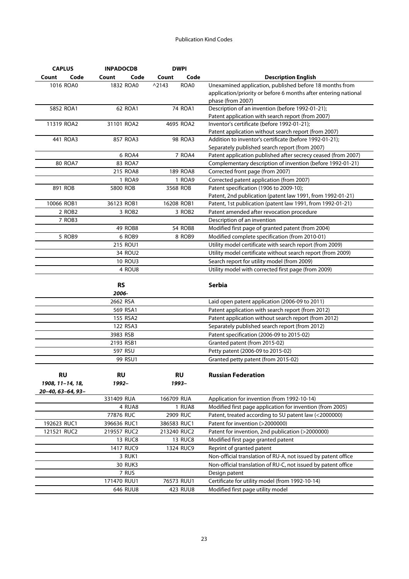| <b>CAPLUS</b>     | <b>INPADOCDB</b>   | <b>DWPI</b>             |                                                                 |
|-------------------|--------------------|-------------------------|-----------------------------------------------------------------|
| Count<br>Code     | Count<br>Code      | Code<br>Count           | <b>Description English</b>                                      |
| 1016 ROA0         | 1832 ROA0          | $^{\wedge}2143$<br>ROA0 | Unexamined application, published before 18 months from         |
|                   |                    |                         | application/priority or before 6 months after entering national |
|                   |                    |                         | phase (from 2007)                                               |
| 5852 ROA1         | 62 ROA1            | 74 ROA1                 | Description of an invention (before 1992-01-21);                |
|                   |                    |                         | Patent application with search report (from 2007)               |
| 11319 ROA2        | 31101 ROA2         | 4695 ROA2               | Inventor's certificate (before 1992-01-21);                     |
|                   |                    |                         | Patent application without search report (from 2007)            |
| 441 ROA3          | 857 ROA3           | 98 ROA3                 | Addition to inventor's certificate (before 1992-01-21);         |
|                   |                    |                         | Separately published search report (from 2007)                  |
|                   | 6 ROA4             | 7 ROA4                  | Patent application published after secrecy ceased (from 2007)   |
| <b>80 ROA7</b>    | 83 ROA7            |                         | Complementary description of invention (before 1992-01-21)      |
|                   | 215 ROA8           | 189 ROA8                | Corrected front page (from 2007)                                |
|                   | 1 ROA9             | 1 ROA9                  | Corrected patent application (from 2007)                        |
| 891 ROB           | 5800 ROB           | 3568 ROB                | Patent specification (1906 to 2009-10);                         |
|                   |                    |                         | Patent, 2nd publication (patent law 1991, from 1992-01-21)      |
| 10066 ROB1        | 36123 ROB1         | 16208 ROB1              | Patent, 1st publication (patent law 1991, from 1992-01-21)      |
| 2 ROB2            | 3 ROB <sub>2</sub> | 3 ROB <sub>2</sub>      | Patent amended after revocation procedure                       |
| 7 ROB3            |                    |                         | Description of an invention                                     |
|                   | <b>49 ROB8</b>     | <b>54 ROB8</b>          | Modified first page of granted patent (from 2004)               |
| 5 ROB9            | 6 ROB9             | 8 ROB9                  | Modified complete specification (from 2010-01)                  |
|                   | 215 ROU1           |                         | Utility model certificate with search report (from 2009)        |
|                   | 34 ROU2            |                         | Utility model certificate without search report (from 2009)     |
|                   | <b>10 ROU3</b>     |                         | Search report for utility model (from 2009)                     |
|                   | 4 ROU8             |                         | Utility model with corrected first page (from 2009)             |
|                   |                    |                         |                                                                 |
|                   | <b>RS</b>          |                         | Serbia                                                          |
|                   | 2006-              |                         |                                                                 |
|                   | 2662 RSA           |                         | Laid open patent application (2006-09 to 2011)                  |
|                   | 569 RSA1           |                         | Patent application with search report (from 2012)               |
|                   | 155 RSA2           |                         | Patent application without search report (from 2012)            |
|                   | 122 RSA3           |                         | Separately published search report (from 2012)                  |
|                   | 3983 RSB           |                         | Patent specification (2006-09 to 2015-02)                       |
|                   | 2193 RSB1          |                         | Granted patent (from 2015-02)                                   |
|                   | 597 RSU            |                         | Petty patent (2006-09 to 2015-02)                               |
|                   | 99 RSU1            |                         | Granted petty patent (from 2015-02)                             |
|                   |                    |                         |                                                                 |
| <b>RU</b>         |                    |                         |                                                                 |
|                   | <b>RU</b>          | <b>RU</b>               | <b>Russian Federation</b>                                       |
| 1908, 11-14, 18,  | 1992-              | 1993-                   |                                                                 |
| 20-40, 63-64, 93- |                    |                         |                                                                 |
|                   | 331409 RUA         | 166709 RUA              | Application for invention (from 1992-10-14)                     |
|                   | 4 RUA8             | <b>1 RUA8</b>           | Modified first page application for invention (from 2005)       |
|                   | 77876 RUC          | 2909 RUC                | Patent, treated according to SU patent law (<2000000)           |
| 192623 RUC1       | 396636 RUC1        | 386583 RUC1             | Patent for invention (>2000000)                                 |
| 121521 RUC2       | 219557 RUC2        | 213240 RUC2             | Patent for invention, 2nd publication (>2000000)                |
|                   | <b>13 RUC8</b>     | <b>13 RUC8</b>          | Modified first page granted patent                              |
|                   | 1417 RUC9          | 1324 RUC9               | Reprint of granted patent                                       |
|                   | 3 RUK1             |                         | Non-official translation of RU-A, not issued by patent office   |
|                   | <b>30 RUK3</b>     |                         | Non-official translation of RU-C, not issued by patent office   |
|                   | 7 RUS              |                         | Design patent                                                   |
|                   | 171470 RUU1        | 76573 RUU1              | Certificate for utility model (from 1992-10-14)                 |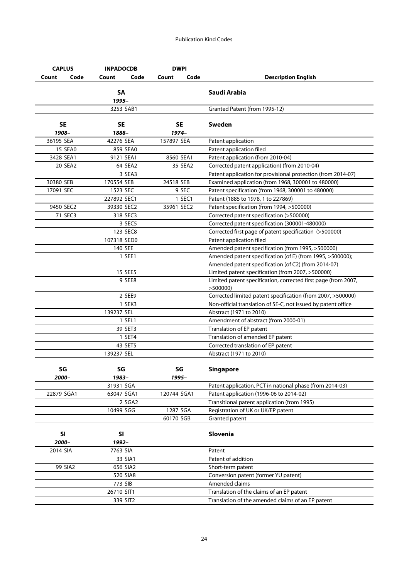| <b>CAPLUS</b>      | <b>INPADOCDB</b>   | <b>DWPI</b>          |                                                                           |
|--------------------|--------------------|----------------------|---------------------------------------------------------------------------|
| Code<br>Count      | Count<br>Code      | Code<br>Count        | <b>Description English</b>                                                |
|                    | <b>SA</b><br>1995- |                      | Saudi Arabia                                                              |
|                    | 3253 SAB1          |                      | Granted Patent (from 1995-12)                                             |
| <b>SE</b><br>1908- | SE<br>1888-        | <b>SE</b><br>$1974-$ | Sweden                                                                    |
| 36195 SEA          | 42276 SEA          | 157897 SEA           | Patent application                                                        |
| <b>15 SEA0</b>     | 859 SEA0           |                      | Patent application filed                                                  |
| 3428 SEA1          | 9121 SEA1          | 8560 SEA1            | Patent application (from 2010-04)                                         |
| 20 SEA2            | 64 SEA2            | 35 SEA2              | Corrected patent application) (from 2010-04)                              |
|                    | 3 SEA3             |                      | Patent application for provisional protection (from 2014-07)              |
| 30380 SEB          | 170554 SEB         | 24518 SEB            | Examined application (from 1968, 300001 to 480000)                        |
| 17091 SEC          | 1523 SEC           | 9 SEC                | Patent specification (from 1968, 300001 to 480000)                        |
|                    | 227892 SEC1        | 1 SEC1               | Patent (1885 to 1978, 1 to 227869)                                        |
| 9450 SEC2          | 39330 SEC2         | 35961 SEC2           | Patent specification (from 1994, >500000)                                 |
| 71 SEC3            | 318 SEC3           |                      | Corrected patent specification (>500000)                                  |
|                    | 3 SEC5             |                      | Corrected patent specification (300001-480000)                            |
|                    | 123 SEC8           |                      | Corrected first page of patent specification (>500000)                    |
|                    | 107318 SED0        |                      | Patent application filed                                                  |
|                    | 140 SEE            |                      | Amended patent specification (from 1995, >500000)                         |
|                    | 1 SEE1             |                      | Amended patent specification (of E) (from 1995, >500000);                 |
|                    |                    |                      | Amended patent specification (of C2) (from 2014-07)                       |
|                    | 15 SEE5            |                      | Limited patent specification (from 2007, >500000)                         |
|                    | 9 SEE8             |                      | Limited patent specification, corrected first page (from 2007,<br>>500000 |
|                    | 2 SEE9             |                      | Corrected limited patent specification (from 2007, >500000)               |
|                    | 1 SEK3             |                      | Non-official translation of SE-C, not issued by patent office             |
|                    | 139237 SEL         |                      | Abstract (1971 to 2010)                                                   |
|                    | 1 SEL1             |                      | Amendment of abstract (from 2000-01)                                      |
|                    | 39 SET3            |                      | Translation of EP patent                                                  |
|                    | 1 SET4             |                      | Translation of amended EP patent                                          |
|                    | 43 SET5            |                      | Corrected translation of EP patent                                        |
|                    | 139237 SEL         |                      | Abstract (1971 to 2010)                                                   |
| SG<br>2000-        | SG<br>1983-        | SG<br>1995-          | <b>Singapore</b>                                                          |
|                    | 31931 SGA          |                      | Patent application, PCT in national phase (from 2014-03)                  |
| 22879 SGA1         | 63047 SGA1         | 120744 SGA1          | Patent application (1996-06 to 2014-02)                                   |
|                    | 2 SGA2             |                      | Transitional patent application (from 1995)                               |
|                    | 10499 SGG          | 1287 SGA             | Registration of UK or UK/EP patent                                        |
|                    |                    | 60170 SGB            | Granted patent                                                            |
| <b>SI</b>          | SI                 |                      | Slovenia                                                                  |
| 2000-              | 1992-              |                      |                                                                           |
| 2014 SIA           | 7763 SIA           |                      | Patent                                                                    |
|                    | 33 SIA1            |                      | Patent of addition                                                        |
| 99 SIA2            | 656 SIA2           |                      | Short-term patent                                                         |
|                    | 520 SIA8           |                      | Conversion patent (former YU patent)                                      |
|                    | 773 SIB            |                      | Amended claims                                                            |
|                    | 26710 SIT1         |                      | Translation of the claims of an EP patent                                 |
|                    | 339 SIT2           |                      | Translation of the amended claims of an EP patent                         |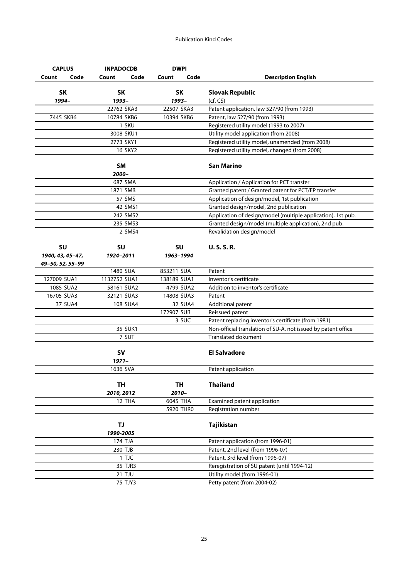| <b>CAPLUS</b>    | <b>INPADOCDB</b>      | <b>DWPI</b>   |                                                                                                       |
|------------------|-----------------------|---------------|-------------------------------------------------------------------------------------------------------|
| Code<br>Count    | Code<br>Count         | Code<br>Count | <b>Description English</b>                                                                            |
| <b>SK</b>        | <b>SK</b>             | <b>SK</b>     | <b>Slovak Republic</b>                                                                                |
| 1994-            | 1993-                 | 1993-         | (cf, CS)                                                                                              |
|                  | 22762 SKA3            | 22507 SKA3    | Patent application, law 527/90 (from 1993)                                                            |
| 7445 SKB6        | 10784 SKB6            | 10394 SKB6    | Patent, law 527/90 (from 1993)                                                                        |
|                  | 1 SKU                 |               | Registered utility model (1993 to 2007)                                                               |
|                  | 3008 SKU1             |               | Utility model application (from 2008)                                                                 |
|                  | 2773 SKY1             |               | Registered utility model, unamended (from 2008)                                                       |
|                  | 16 SKY2               |               | Registered utility model, changed (from 2008)                                                         |
|                  | <b>SM</b>             |               | San Marino                                                                                            |
|                  | 2000–                 |               |                                                                                                       |
|                  | 687 SMA               |               | Application / Application for PCT transfer                                                            |
|                  | 1871 SMB              |               | Granted patent / Granted patent for PCT/EP transfer                                                   |
|                  | 57 SMS                |               | Application of design/model, 1st publication                                                          |
|                  | 42 SMS1               |               | Granted design/model, 2nd publication<br>Application of design/model (multiple application), 1st pub. |
|                  | 242 SMS2<br>235 SMS3  |               | Granted design/model (multiple application), 2nd pub.                                                 |
|                  | 2 SMS4                |               | Revalidation design/model                                                                             |
|                  |                       |               |                                                                                                       |
| <b>SU</b>        | <b>SU</b>             | <b>SU</b>     | <b>U.S.S.R.</b>                                                                                       |
| 1940, 43, 45-47, | 1924-2011             | 1963-1994     |                                                                                                       |
| 49-50, 52, 55-99 |                       |               |                                                                                                       |
|                  | 1480 SUA              | 853211 SUA    | Patent                                                                                                |
| 127009 SUA1      | 1132752 SUA1          | 138189 SUA1   | Inventor's certificate                                                                                |
| 1085 SUA2        | 58161 SUA2            | 4799 SUA2     | Addition to inventor's certificate                                                                    |
| 16705 SUA3       | 32121 SUA3            | 14808 SUA3    | Patent                                                                                                |
| 37 SUA4          | 108 SUA4              | 32 SUA4       | Additional patent                                                                                     |
|                  |                       | 172907 SUB    | Reissued patent                                                                                       |
|                  | 35 SUK1               | 3 SUC         | Patent replacing inventor's certificate (from 1981)                                                   |
|                  | 7 SUT                 |               | Non-official translation of SU-A, not issued by patent office<br><b>Translated dokument</b>           |
|                  |                       |               |                                                                                                       |
|                  | <b>SV</b><br>$1971 -$ |               | <b>El Salvadore</b>                                                                                   |
|                  | 1636 SVA              |               | Patent application                                                                                    |
|                  | TH                    | TH            | <b>Thailand</b>                                                                                       |
|                  | 2010, 2012            | 2010-         |                                                                                                       |
|                  | 12 THA                | 6045 THA      | Examined patent application                                                                           |
|                  |                       | 5920 THR0     | Registration number                                                                                   |
|                  | TJ.                   |               | Tajikistan                                                                                            |
|                  | 1990-2005             |               |                                                                                                       |
|                  | 174 TJA               |               | Patent application (from 1996-01)                                                                     |
|                  | 230 TJB               |               | Patent, 2nd level (from 1996-07)                                                                      |
|                  | 1 TJC                 |               | Patent, 3rd level (from 1996-07)                                                                      |
|                  | 35 TJR3               |               | Reregistration of SU patent (until 1994-12)                                                           |
|                  | <b>21 TJU</b>         |               | Utility model (from 1996-01)                                                                          |
|                  | 75 TJY3               |               | Petty patent (from 2004-02)                                                                           |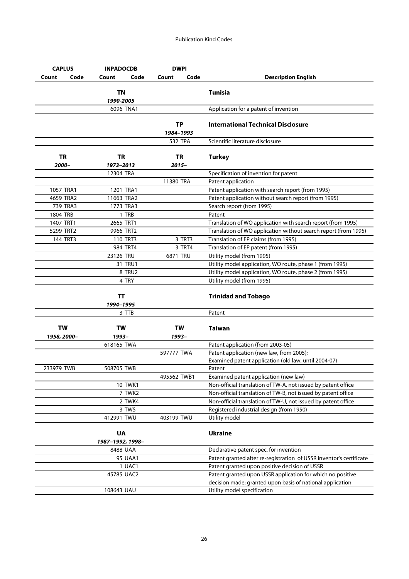| <b>CAPLUS</b> | <b>INPADOCDB</b>              | <b>DWPI</b>            |                                                                                                                      |
|---------------|-------------------------------|------------------------|----------------------------------------------------------------------------------------------------------------------|
| Count<br>Code | Count<br>Code                 | Count<br>Code          | <b>Description English</b>                                                                                           |
|               | <b>TN</b><br>1990-2005        |                        | Tunisia                                                                                                              |
|               | 6096 TNA1                     |                        | Application for a patent of invention                                                                                |
|               |                               | <b>TP</b><br>1984-1993 | <b>International Technical Disclosure</b>                                                                            |
|               |                               | <b>532 TPA</b>         | Scientific literature disclosure                                                                                     |
| <b>TR</b>     | TR                            | <b>TR</b>              | <b>Turkey</b>                                                                                                        |
| 2000–         | 1973-2013                     | $2015 -$               |                                                                                                                      |
|               | 12304 TRA                     |                        | Specification of invention for patent                                                                                |
|               |                               | 11380 TRA              | Patent application                                                                                                   |
| 1057 TRA1     | 1201 TRA1                     |                        | Patent application with search report (from 1995)                                                                    |
| 4659 TRA2     | 11663 TRA2                    |                        | Patent application without search report (from 1995)                                                                 |
| 739 TRA3      | 1773 TRA3                     |                        | Search report (from 1995)                                                                                            |
| 1804 TRB      | 1 TRB                         |                        | Patent                                                                                                               |
| 1407 TRT1     | 2665 TRT1                     |                        | Translation of WO application with search report (from 1995)                                                         |
| 5299 TRT2     | 9966 TRT2                     | 3 TRT3                 | Translation of WO application without search report (from 1995)<br>Translation of EP claims (from 1995)              |
| 144 TRT3      | 110 TRT3                      | 3 TRT4                 |                                                                                                                      |
|               | 984 TRT4<br>23126 TRU         | 6871 TRU               | Translation of EP patent (from 1995)<br>Utility model (from 1995)                                                    |
|               | 31 TRU1                       |                        |                                                                                                                      |
|               | 8 TRU2                        |                        | Utility model application, WO route, phase 1 (from 1995)<br>Utility model application, WO route, phase 2 (from 1995) |
|               | 4 TRY                         |                        | Utility model (from 1995)                                                                                            |
|               |                               |                        |                                                                                                                      |
|               | ТT                            |                        | <b>Trinidad and Tobago</b>                                                                                           |
|               | 1994-1995                     |                        |                                                                                                                      |
|               | 3 TTB                         |                        | Patent                                                                                                               |
| <b>TW</b>     | TW                            | TW                     | Taiwan                                                                                                               |
| 1958, 2000-   | 1993-                         | 1993–                  |                                                                                                                      |
|               | 618165 TWA                    | 597777 TWA             | Patent application (from 2003-05)<br>Patent application (new law, from 2005);                                        |
|               |                               |                        | Examined patent application (old law, until 2004-07)                                                                 |
| 233979 TWB    | 508705 TWB                    |                        | Patent                                                                                                               |
|               |                               | 495562 TWB1            | Examined patent application (new law)                                                                                |
|               | <b>10 TWK1</b>                |                        | Non-official translation of TW-A, not issued by patent office                                                        |
|               | 7 TWK2                        |                        | Non-official translation of TW-B, not issued by patent office                                                        |
|               | 2 TWK4                        |                        | Non-official translation of TW-U, not issued by patent office                                                        |
|               | 3 TWS                         |                        | Registered industrial design (from 1950)                                                                             |
|               | 412991 TWU                    | 403199 TWU             | Utility model                                                                                                        |
|               |                               |                        |                                                                                                                      |
|               | <b>UA</b><br>1987-1992, 1998- |                        | <b>Ukraine</b>                                                                                                       |
|               | 8488 UAA                      |                        | Declarative patent spec. for invention                                                                               |
|               | <b>95 UAA1</b>                |                        | Patent granted after re-registration of USSR inventor's certificate                                                  |
|               | 1 UAC1                        |                        | Patent granted upon positive decision of USSR                                                                        |
|               | 45785 UAC2                    |                        | Patent granted upon USSR application for which no positive                                                           |
|               |                               |                        | decision made; granted upon basis of national application                                                            |
|               | 108643 UAU                    |                        | Utility model specification                                                                                          |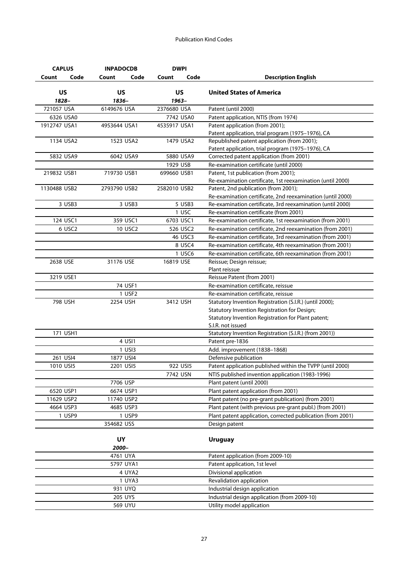| <b>CAPLUS</b>      | <b>INPADOCDB</b>   | <b>DWPI</b>        |                                                                             |
|--------------------|--------------------|--------------------|-----------------------------------------------------------------------------|
| Code<br>Count      | Code<br>Count      | Code<br>Count      | <b>Description English</b>                                                  |
| <b>US</b><br>1828- | <b>US</b><br>1836- | <b>US</b><br>1963- | <b>United States of America</b>                                             |
| 721057 USA         | 6149676 USA        | 2376680 USA        | Patent (until 2000)                                                         |
| 6326 USA0          |                    | 7742 USA0          | Patent application, NTIS (from 1974)                                        |
| 1912747 USA1       | 4953644 USA1       | 4535917 USA1       | Patent application (from 2001);                                             |
|                    |                    |                    | Patent application, trial program (1975-1976), CA                           |
| 1134 USA2          | 1523 USA2          | 1479 USA2          | Republished patent application (from 2001);                                 |
|                    |                    |                    | Patent application, trial program (1975-1976), CA                           |
| 5832 USA9          | 6042 USA9          | 5880 USA9          | Corrected patent application (from 2001)                                    |
|                    |                    | 1929 USB           | Re-examination certificate (until 2000)                                     |
| 219832 USB1        | 719730 USB1        | 699660 USB1        | Patent, 1st publication (from 2001);                                        |
|                    |                    |                    | Re-examination certificate, 1st reexamination (until 2000)                  |
| 1130488 USB2       | 2793790 USB2       | 2582010 USB2       | Patent, 2nd publication (from 2001);                                        |
|                    |                    |                    | Re-examination certificate, 2nd reexamination (until 2000)                  |
| 3 USB3             | 3 USB3             | 5 USB3             | Re-examination certificate, 3rd reexamination (until 2000)                  |
|                    |                    | 1 USC              | Re-examination certificate (from 2001)                                      |
| 124 USC1           | 359 USC1           | 6703 USC1          | Re-examination certificate, 1st reexamination (from 2001)                   |
| 6 USC2             | 10 USC2            | 526 USC2           | Re-examination certificate, 2nd reexamination (from 2001)                   |
|                    |                    | 46 USC3            | Re-examination certificate, 3rd reexamination (from 2001)                   |
|                    |                    | 8 USC4             | Re-examination certificate, 4th reexamination (from 2001)                   |
|                    |                    | 1 USC6             | Re-examination certificate, 6th reexamination (from 2001)                   |
| 2638 USE           | 31176 USE          | 16819 USE          | Reissue; Design reissue;                                                    |
|                    |                    |                    | Plant reissue                                                               |
| 3219 USE1          |                    |                    | Reissue Patent (from 2001)                                                  |
|                    | 74 USF1            |                    | Re-examination certificate, reissue                                         |
|                    | 1 USF2             |                    | Re-examination certificate, reissue                                         |
| 798 USH            | 2254 USH           | 3412 USH           | Statutory Invention Registration (S.I.R.) (until 2000);                     |
|                    |                    |                    | Statutory Invention Registration for Design;                                |
|                    |                    |                    | Statutory Invention Registration for Plant patent;                          |
| 171 USH1           |                    |                    | S.I.R. not issued<br>Statutory Invention Registration (S.I.R.) (from 2001)) |
|                    | 4 USI1             |                    | Patent pre-1836                                                             |
|                    | 1 USI3             |                    | Add. improvement (1838-1868)                                                |
| 261 USI4           | 1877 USI4          |                    | Defensive publication                                                       |
| 1010 USI5          | 2201 USI5          | 922 USI5           | Patent application published within the TVPP (until 2000)                   |
|                    |                    | 7742 USN           | NTIS published invention application (1983-1996)                            |
|                    | 7706 USP           |                    | Plant patent (until 2000)                                                   |
| 6520 USP1          | 6674 USP1          |                    | Plant patent application (from 2001)                                        |
| 11629 USP2         | 11740 USP2         |                    | Plant patent (no pre-grant publication) (from 2001)                         |
| 4664 USP3          | 4685 USP3          |                    | Plant patent (with previous pre-grant publ.) (from 2001)                    |
| 1 USP9             | 1 USP9             |                    | Plant patent application, corrected publication (from 2001)                 |
|                    | 354682 USS         |                    | Design patent                                                               |
|                    |                    |                    |                                                                             |
|                    | <b>UY</b>          |                    | <b>Uruguay</b>                                                              |
|                    | 2000-              |                    |                                                                             |
|                    | 4761 UYA           |                    | Patent application (from 2009-10)                                           |
|                    | 5797 UYA1          |                    | Patent application, 1st level                                               |
|                    | 4 UYA2             |                    | Divisional application                                                      |
|                    | 1 UYA3             |                    | Revalidation application                                                    |
|                    | 931 UYQ            |                    | Industrial design application                                               |
|                    | 205 UYS            |                    | Industrial design application (from 2009-10)                                |
|                    | 569 UYU            |                    | Utility model application                                                   |